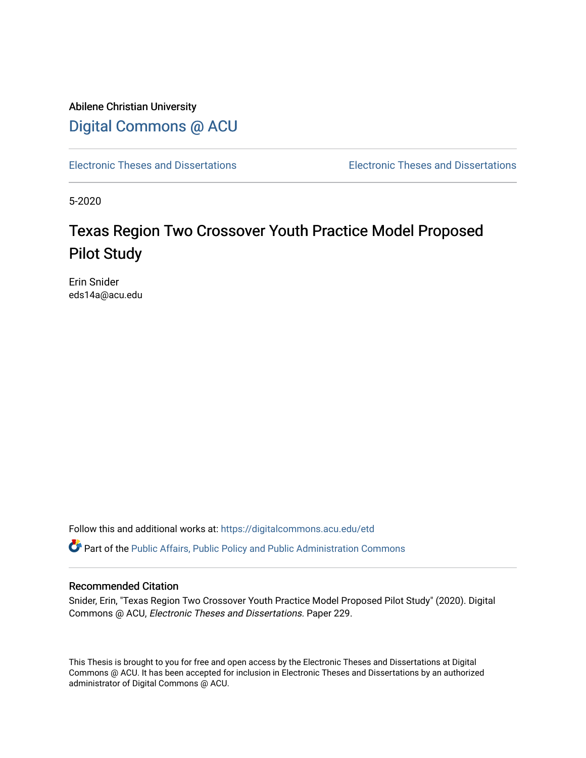Abilene Christian University [Digital Commons @ ACU](https://digitalcommons.acu.edu/)

[Electronic Theses and Dissertations](https://digitalcommons.acu.edu/etd) [Electronic Theses and Dissertations](https://digitalcommons.acu.edu/graduate_works) 

5-2020

# Texas Region Two Crossover Youth Practice Model Proposed Pilot Study

Erin Snider eds14a@acu.edu

Follow this and additional works at: [https://digitalcommons.acu.edu/etd](https://digitalcommons.acu.edu/etd?utm_source=digitalcommons.acu.edu%2Fetd%2F229&utm_medium=PDF&utm_campaign=PDFCoverPages) 

**C** Part of the Public Affairs, Public Policy and Public Administration Commons

## Recommended Citation

Snider, Erin, "Texas Region Two Crossover Youth Practice Model Proposed Pilot Study" (2020). Digital Commons @ ACU, Electronic Theses and Dissertations. Paper 229.

This Thesis is brought to you for free and open access by the Electronic Theses and Dissertations at Digital Commons @ ACU. It has been accepted for inclusion in Electronic Theses and Dissertations by an authorized administrator of Digital Commons @ ACU.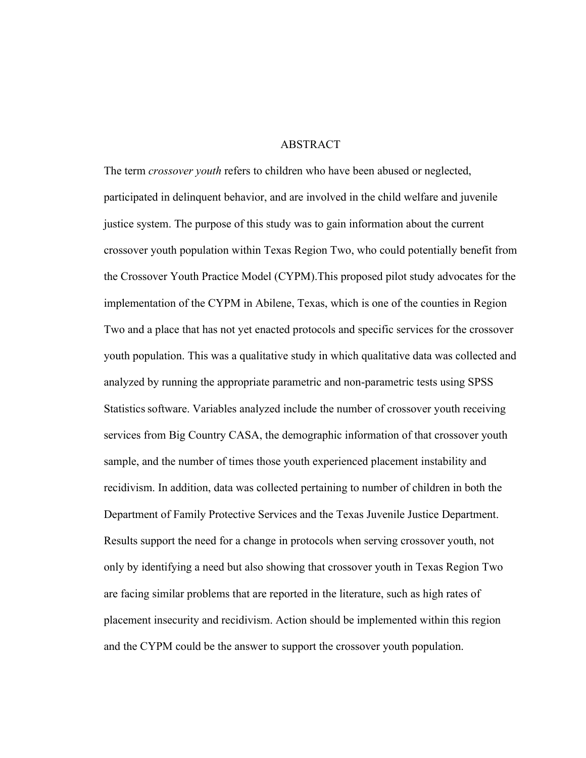## ABSTRACT

The term *crossover youth* refers to children who have been abused or neglected, participated in delinquent behavior, and are involved in the child welfare and juvenile justice system. The purpose of this study was to gain information about the current crossover youth population within Texas Region Two, who could potentially benefit from the Crossover Youth Practice Model (CYPM).This proposed pilot study advocates for the implementation of the CYPM in Abilene, Texas, which is one of the counties in Region Two and a place that has not yet enacted protocols and specific services for the crossover youth population. This was a qualitative study in which qualitative data was collected and analyzed by running the appropriate parametric and non-parametric tests using SPSS Statisticssoftware. Variables analyzed include the number of crossover youth receiving services from Big Country CASA, the demographic information of that crossover youth sample, and the number of times those youth experienced placement instability and recidivism. In addition, data was collected pertaining to number of children in both the Department of Family Protective Services and the Texas Juvenile Justice Department. Results support the need for a change in protocols when serving crossover youth, not only by identifying a need but also showing that crossover youth in Texas Region Two are facing similar problems that are reported in the literature, such as high rates of placement insecurity and recidivism. Action should be implemented within this region and the CYPM could be the answer to support the crossover youth population.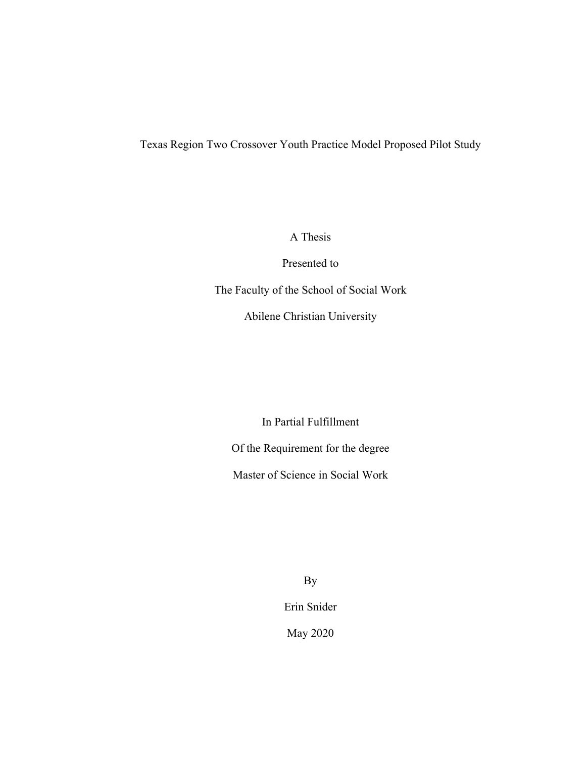## Texas Region Two Crossover Youth Practice Model Proposed Pilot Study

A Thesis

Presented to

The Faculty of the School of Social Work

Abilene Christian University

In Partial Fulfillment

Of the Requirement for the degree

Master of Science in Social Work

By Erin Snider May 2020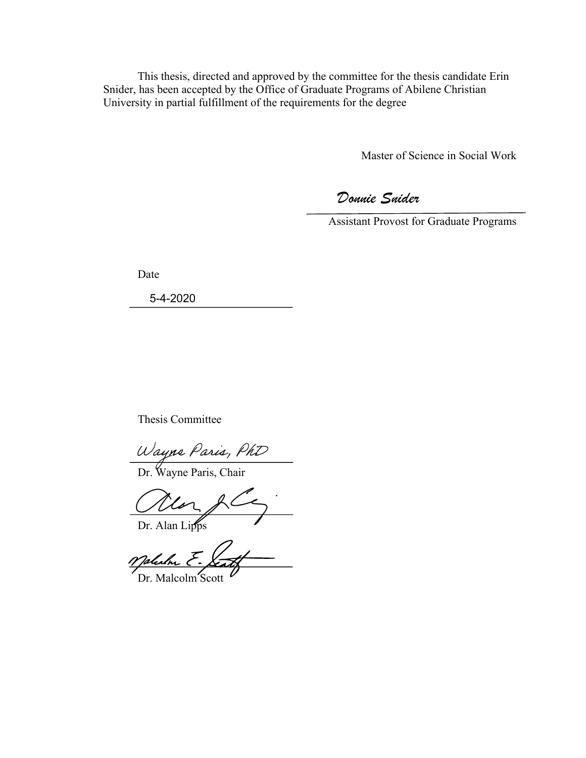This thesis, directed and approved by the committee for the thesis candidate Erin Snider, has been accepted by the Office of Graduate Programs of Abilene Christian University in partial fulfillment of the requirements for the degree

Master of Science in Social Work

*Donnie Snider*

Assistant Provost for Graduate Programs

Date

5-4-2020

Thesis Committee

Wayne Paris, PhD<br>Dr. Wayne Paris, Chair

Mar fr Dr. Alan Lipps

Malulm E.

Dr. Malcolm Scott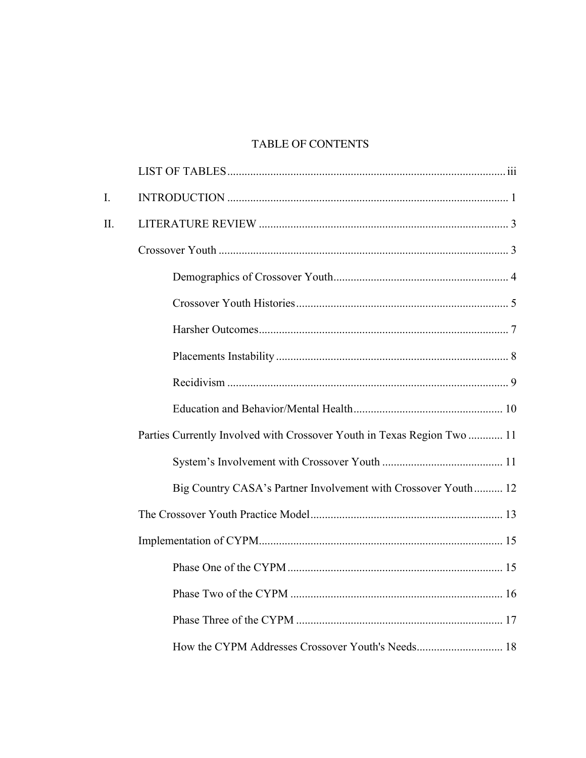## TABLE OF CONTENTS

| I. |                                                                         |  |
|----|-------------------------------------------------------------------------|--|
| Π. |                                                                         |  |
|    |                                                                         |  |
|    |                                                                         |  |
|    |                                                                         |  |
|    |                                                                         |  |
|    |                                                                         |  |
|    |                                                                         |  |
|    |                                                                         |  |
|    | Parties Currently Involved with Crossover Youth in Texas Region Two  11 |  |
|    |                                                                         |  |
|    | Big Country CASA's Partner Involvement with Crossover Youth 12          |  |
|    |                                                                         |  |
|    |                                                                         |  |
|    |                                                                         |  |
|    |                                                                         |  |
|    |                                                                         |  |
|    |                                                                         |  |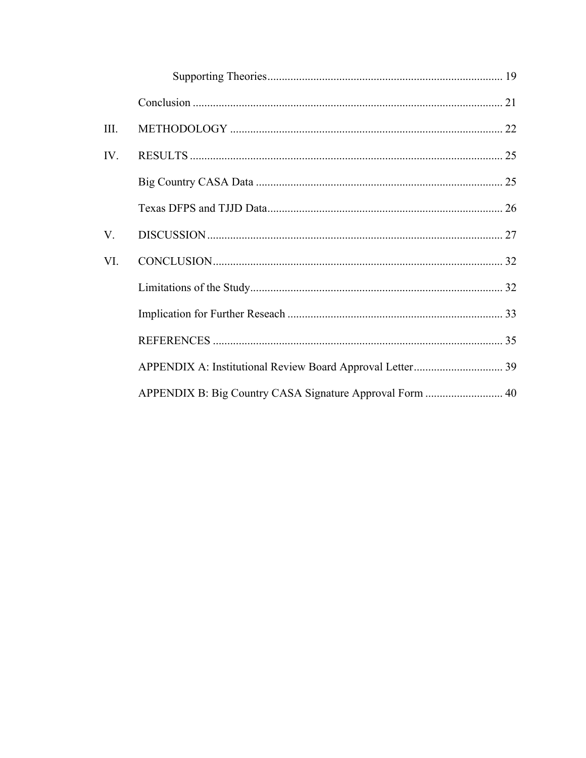| III. |  |
|------|--|
| IV.  |  |
|      |  |
|      |  |
| V.   |  |
| VI.  |  |
|      |  |
|      |  |
|      |  |
|      |  |
|      |  |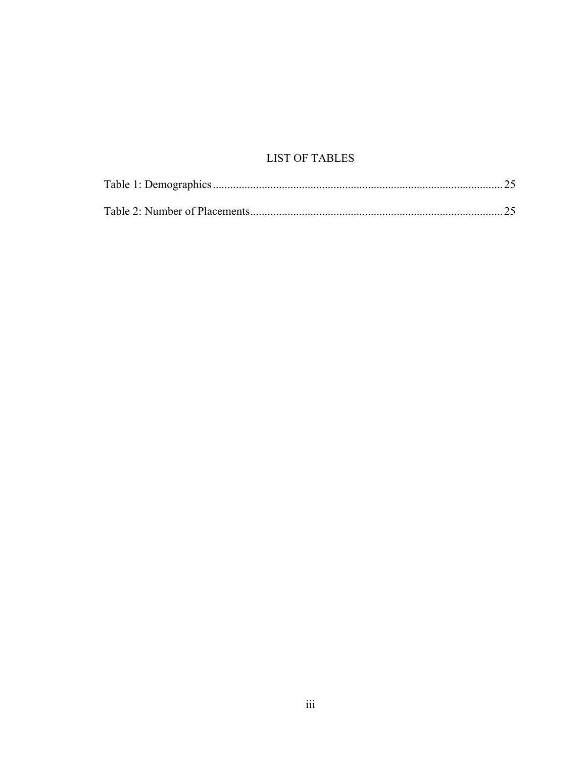## **LIST OF TABLES**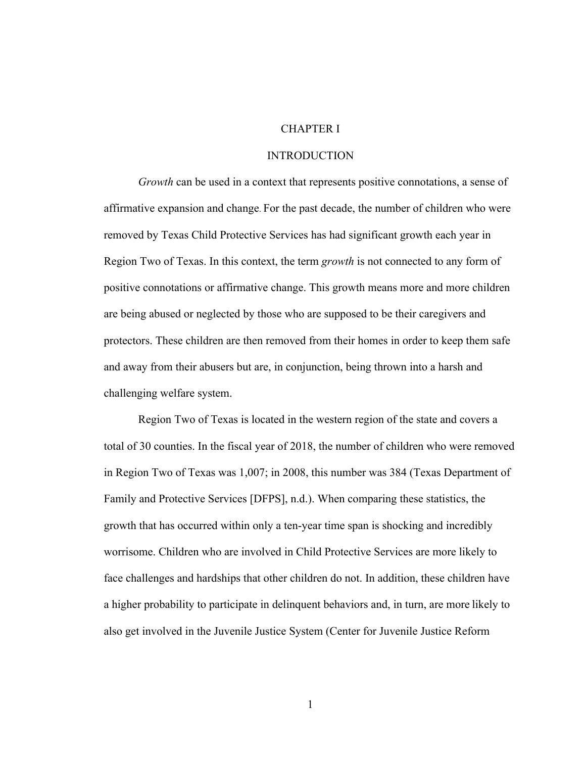### CHAPTER I

#### INTRODUCTION

*Growth* can be used in a context that represents positive connotations, a sense of affirmative expansion and change. For the past decade, the number of children who were removed by Texas Child Protective Services has had significant growth each year in Region Two of Texas. In this context, the term *growth* is not connected to any form of positive connotations or affirmative change. This growth means more and more children are being abused or neglected by those who are supposed to be their caregivers and protectors. These children are then removed from their homes in order to keep them safe and away from their abusers but are, in conjunction, being thrown into a harsh and challenging welfare system.

Region Two of Texas is located in the western region of the state and covers a total of 30 counties. In the fiscal year of 2018, the number of children who were removed in Region Two of Texas was 1,007; in 2008, this number was 384 (Texas Department of Family and Protective Services [DFPS], n.d.). When comparing these statistics, the growth that has occurred within only a ten-year time span is shocking and incredibly worrisome. Children who are involved in Child Protective Services are more likely to face challenges and hardships that other children do not. In addition, these children have a higher probability to participate in delinquent behaviors and, in turn, are more likely to also get involved in the Juvenile Justice System (Center for Juvenile Justice Reform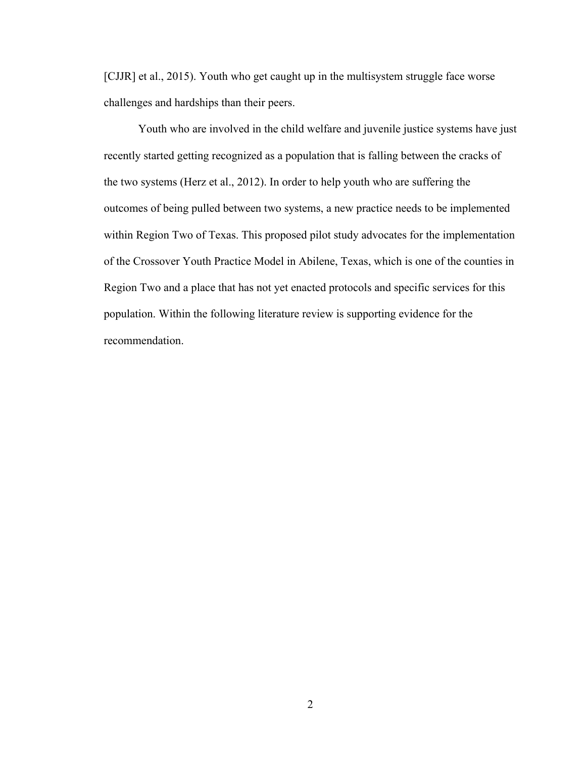[CJJR] et al., 2015). Youth who get caught up in the multisystem struggle face worse challenges and hardships than their peers.

Youth who are involved in the child welfare and juvenile justice systems have just recently started getting recognized as a population that is falling between the cracks of the two systems (Herz et al., 2012). In order to help youth who are suffering the outcomes of being pulled between two systems, a new practice needs to be implemented within Region Two of Texas. This proposed pilot study advocates for the implementation of the Crossover Youth Practice Model in Abilene, Texas, which is one of the counties in Region Two and a place that has not yet enacted protocols and specific services for this population. Within the following literature review is supporting evidence for the recommendation.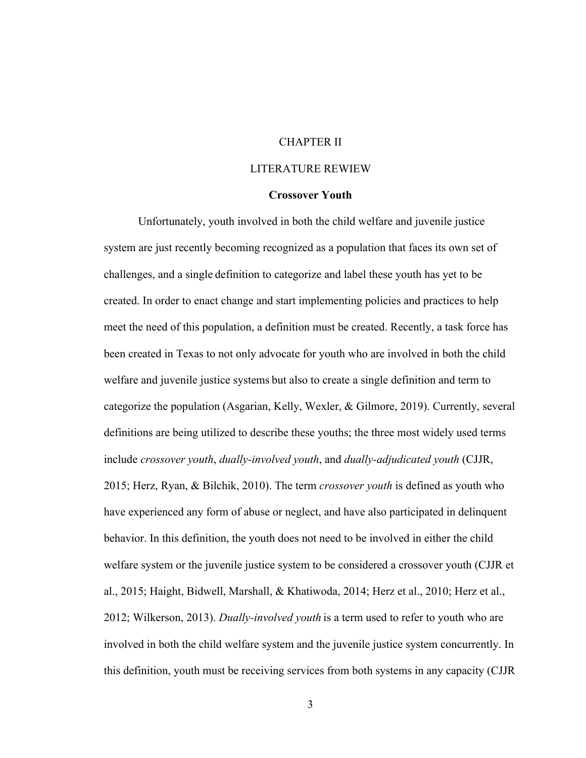## CHAPTER II

## LITERATURE REWIEW

### **Crossover Youth**

Unfortunately, youth involved in both the child welfare and juvenile justice system are just recently becoming recognized as a population that faces its own set of challenges, and a single definition to categorize and label these youth has yet to be created. In order to enact change and start implementing policies and practices to help meet the need of this population, a definition must be created. Recently, a task force has been created in Texas to not only advocate for youth who are involved in both the child welfare and juvenile justice systems but also to create a single definition and term to categorize the population (Asgarian, Kelly, Wexler, & Gilmore, 2019). Currently, several definitions are being utilized to describe these youths; the three most widely used terms include *crossover youth*, *dually-involved youth*, and *dually-adjudicated youth* (CJJR, 2015; Herz, Ryan, & Bilchik, 2010). The term *crossover youth* is defined as youth who have experienced any form of abuse or neglect, and have also participated in delinquent behavior. In this definition, the youth does not need to be involved in either the child welfare system or the juvenile justice system to be considered a crossover youth (CJJR et al., 2015; Haight, Bidwell, Marshall, & Khatiwoda, 2014; Herz et al., 2010; Herz et al., 2012; Wilkerson, 2013). *Dually-involved youth* is a term used to refer to youth who are involved in both the child welfare system and the juvenile justice system concurrently. In this definition, youth must be receiving services from both systems in any capacity (CJJR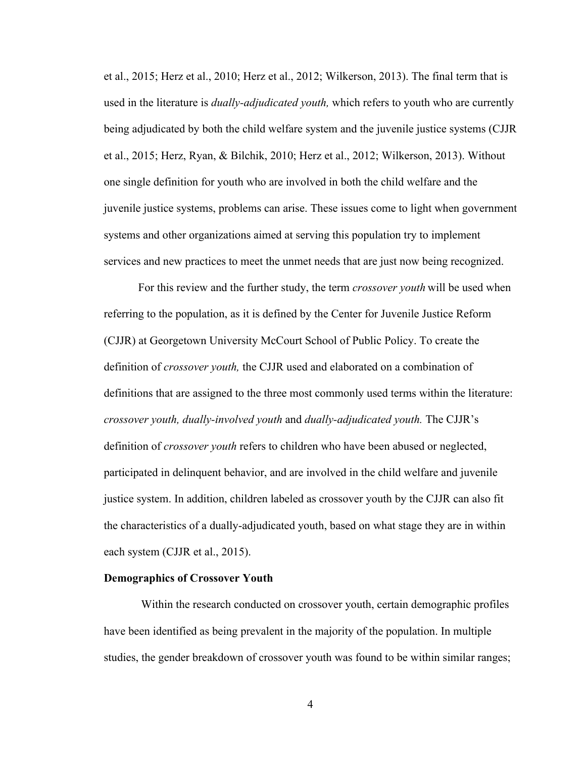et al., 2015; Herz et al., 2010; Herz et al., 2012; Wilkerson, 2013). The final term that is used in the literature is *dually-adjudicated youth,* which refers to youth who are currently being adjudicated by both the child welfare system and the juvenile justice systems (CJJR et al., 2015; Herz, Ryan, & Bilchik, 2010; Herz et al., 2012; Wilkerson, 2013). Without one single definition for youth who are involved in both the child welfare and the juvenile justice systems, problems can arise. These issues come to light when government systems and other organizations aimed at serving this population try to implement services and new practices to meet the unmet needs that are just now being recognized.

For this review and the further study, the term *crossover youth* will be used when referring to the population, as it is defined by the Center for Juvenile Justice Reform (CJJR) at Georgetown University McCourt School of Public Policy. To create the definition of *crossover youth,* the CJJR used and elaborated on a combination of definitions that are assigned to the three most commonly used terms within the literature: *crossover youth, dually-involved youth* and *dually-adjudicated youth.* The CJJR's definition of *crossover youth* refers to children who have been abused or neglected, participated in delinquent behavior, and are involved in the child welfare and juvenile justice system. In addition, children labeled as crossover youth by the CJJR can also fit the characteristics of a dually-adjudicated youth, based on what stage they are in within each system (CJJR et al., 2015).

## **Demographics of Crossover Youth**

Within the research conducted on crossover youth, certain demographic profiles have been identified as being prevalent in the majority of the population. In multiple studies, the gender breakdown of crossover youth was found to be within similar ranges;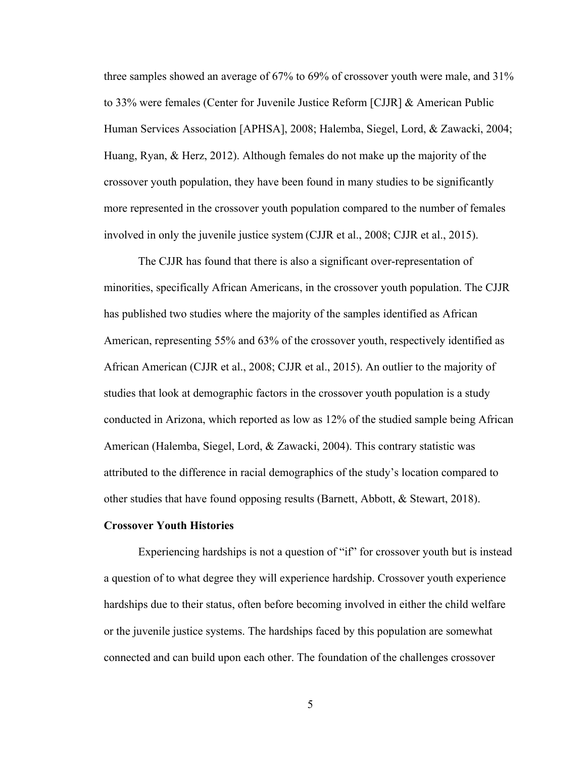three samples showed an average of 67% to 69% of crossover youth were male, and 31% to 33% were females (Center for Juvenile Justice Reform [CJJR] & American Public Human Services Association [APHSA], 2008; Halemba, Siegel, Lord, & Zawacki, 2004; Huang, Ryan, & Herz, 2012). Although females do not make up the majority of the crossover youth population, they have been found in many studies to be significantly more represented in the crossover youth population compared to the number of females involved in only the juvenile justice system (CJJR et al., 2008; CJJR et al., 2015).

The CJJR has found that there is also a significant over-representation of minorities, specifically African Americans, in the crossover youth population. The CJJR has published two studies where the majority of the samples identified as African American, representing 55% and 63% of the crossover youth, respectively identified as African American (CJJR et al., 2008; CJJR et al., 2015). An outlier to the majority of studies that look at demographic factors in the crossover youth population is a study conducted in Arizona, which reported as low as 12% of the studied sample being African American (Halemba, Siegel, Lord, & Zawacki, 2004). This contrary statistic was attributed to the difference in racial demographics of the study's location compared to other studies that have found opposing results (Barnett, Abbott, & Stewart, 2018).

#### **Crossover Youth Histories**

Experiencing hardships is not a question of "if" for crossover youth but is instead a question of to what degree they will experience hardship. Crossover youth experience hardships due to their status, often before becoming involved in either the child welfare or the juvenile justice systems. The hardships faced by this population are somewhat connected and can build upon each other. The foundation of the challenges crossover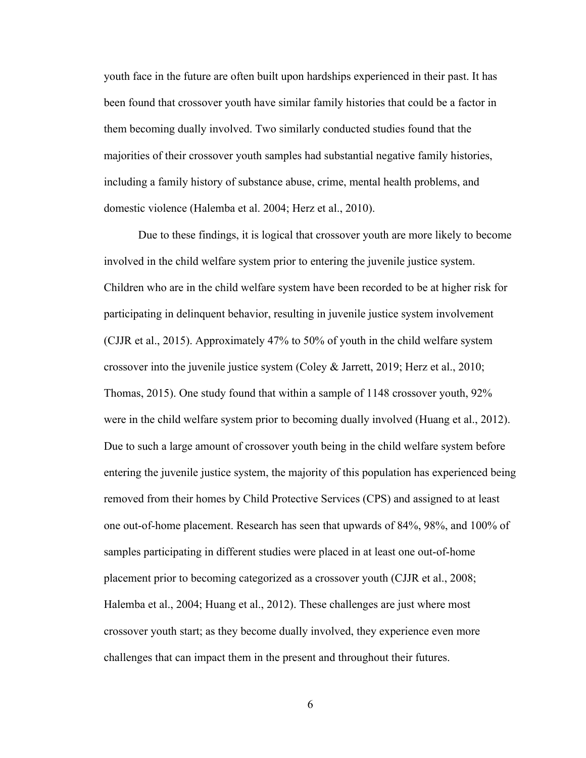youth face in the future are often built upon hardships experienced in their past. It has been found that crossover youth have similar family histories that could be a factor in them becoming dually involved. Two similarly conducted studies found that the majorities of their crossover youth samples had substantial negative family histories, including a family history of substance abuse, crime, mental health problems, and domestic violence (Halemba et al. 2004; Herz et al., 2010).

Due to these findings, it is logical that crossover youth are more likely to become involved in the child welfare system prior to entering the juvenile justice system. Children who are in the child welfare system have been recorded to be at higher risk for participating in delinquent behavior, resulting in juvenile justice system involvement (CJJR et al., 2015). Approximately 47% to 50% of youth in the child welfare system crossover into the juvenile justice system (Coley & Jarrett, 2019; Herz et al., 2010; Thomas, 2015). One study found that within a sample of 1148 crossover youth, 92% were in the child welfare system prior to becoming dually involved (Huang et al., 2012). Due to such a large amount of crossover youth being in the child welfare system before entering the juvenile justice system, the majority of this population has experienced being removed from their homes by Child Protective Services (CPS) and assigned to at least one out-of-home placement. Research has seen that upwards of 84%, 98%, and 100% of samples participating in different studies were placed in at least one out-of-home placement prior to becoming categorized as a crossover youth (CJJR et al., 2008; Halemba et al., 2004; Huang et al., 2012). These challenges are just where most crossover youth start; as they become dually involved, they experience even more challenges that can impact them in the present and throughout their futures.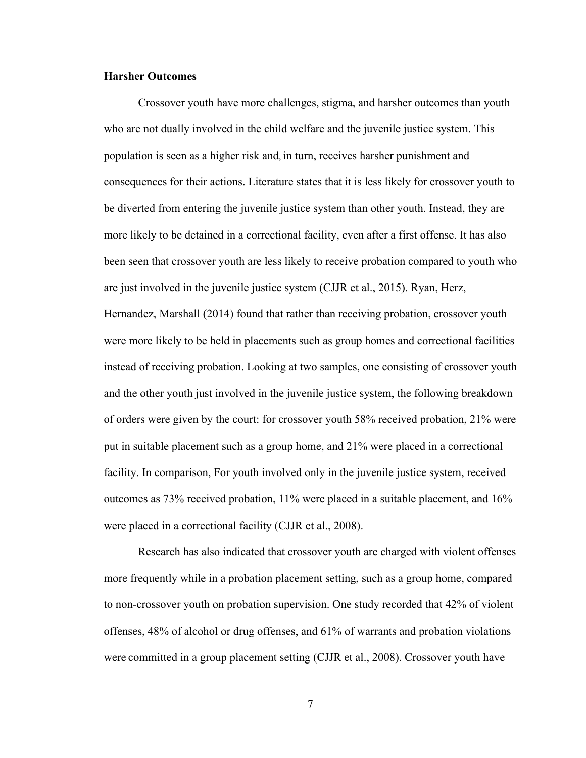## **Harsher Outcomes**

Crossover youth have more challenges, stigma, and harsher outcomes than youth who are not dually involved in the child welfare and the juvenile justice system. This population is seen as a higher risk and, in turn, receives harsher punishment and consequences for their actions. Literature states that it is less likely for crossover youth to be diverted from entering the juvenile justice system than other youth. Instead, they are more likely to be detained in a correctional facility, even after a first offense. It has also been seen that crossover youth are less likely to receive probation compared to youth who are just involved in the juvenile justice system (CJJR et al., 2015). Ryan, Herz, Hernandez, Marshall (2014) found that rather than receiving probation, crossover youth were more likely to be held in placements such as group homes and correctional facilities instead of receiving probation. Looking at two samples, one consisting of crossover youth and the other youth just involved in the juvenile justice system, the following breakdown of orders were given by the court: for crossover youth 58% received probation, 21% were put in suitable placement such as a group home, and 21% were placed in a correctional facility. In comparison, For youth involved only in the juvenile justice system, received outcomes as 73% received probation, 11% were placed in a suitable placement, and 16% were placed in a correctional facility (CJJR et al., 2008).

Research has also indicated that crossover youth are charged with violent offenses more frequently while in a probation placement setting, such as a group home, compared to non-crossover youth on probation supervision. One study recorded that 42% of violent offenses, 48% of alcohol or drug offenses, and 61% of warrants and probation violations were committed in a group placement setting (CJJR et al., 2008). Crossover youth have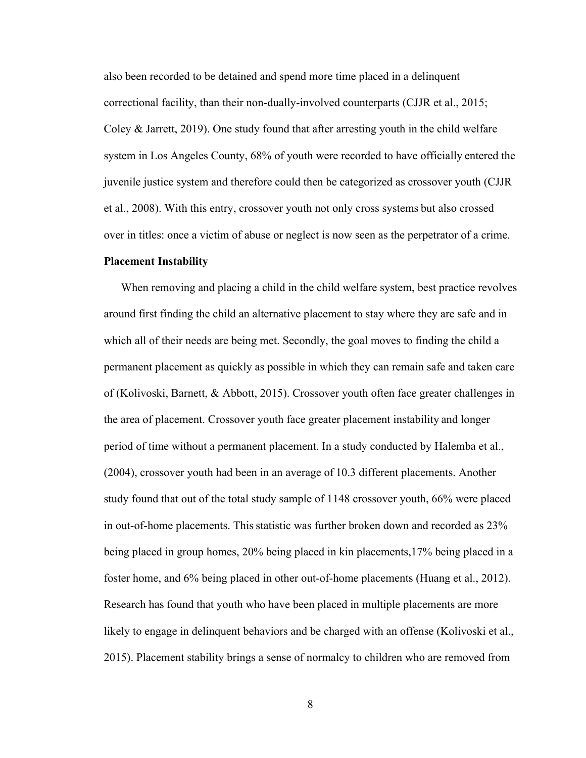also been recorded to be detained and spend more time placed in a delinquent correctional facility, than their non-dually-involved counterparts (CJJR et al., 2015; Coley  $\&$  Jarrett, 2019). One study found that after arresting youth in the child welfare system in Los Angeles County, 68% of youth were recorded to have officially entered the juvenile justice system and therefore could then be categorized as crossover youth (CJJR et al., 2008). With this entry, crossover youth not only cross systems but also crossed over in titles: once a victim of abuse or neglect is now seen as the perpetrator of a crime.

#### **Placement Instability**

When removing and placing a child in the child welfare system, best practice revolves around first finding the child an alternative placement to stay where they are safe and in which all of their needs are being met. Secondly, the goal moves to finding the child a permanent placement as quickly as possible in which they can remain safe and taken care of (Kolivoski, Barnett, & Abbott, 2015). Crossover youth often face greater challenges in the area of placement. Crossover youth face greater placement instability and longer period of time without a permanent placement. In a study conducted by Halemba et al., (2004), crossover youth had been in an average of 10.3 different placements. Another study found that out of the total study sample of 1148 crossover youth, 66% were placed in out-of-home placements. This statistic was further broken down and recorded as  $23\%$ being placed in group homes, 20% being placed in kin placements,17% being placed in a foster home, and 6% being placed in other out-of-home placements (Huang et al., 2012). Research has found that youth who have been placed in multiple placements are more likely to engage in delinquent behaviors and be charged with an offense (Kolivoski et al., 2015). Placement stability brings a sense of normalcy to children who are removed from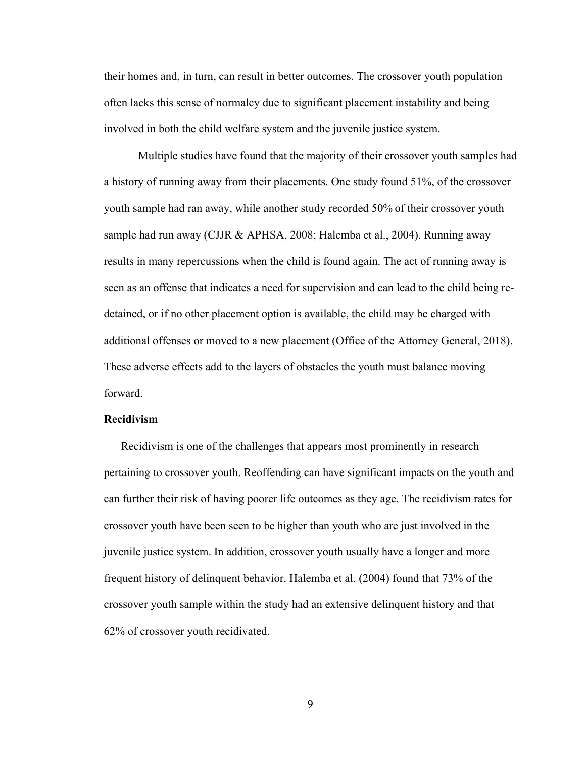their homes and, in turn, can result in better outcomes. The crossover youth population often lacks this sense of normalcy due to significant placement instability and being involved in both the child welfare system and the juvenile justice system.

Multiple studies have found that the majority of their crossover youth samples had a history of running away from their placements. One study found 51%, of the crossover youth sample had ran away, while another study recorded 50% of their crossover youth sample had run away (CJJR & APHSA, 2008; Halemba et al., 2004). Running away results in many repercussions when the child is found again. The act of running away is seen as an offense that indicates a need for supervision and can lead to the child being redetained, or if no other placement option is available, the child may be charged with additional offenses or moved to a new placement (Office of the Attorney General, 2018). These adverse effects add to the layers of obstacles the youth must balance moving forward.

### **Recidivism**

Recidivism is one of the challenges that appears most prominently in research pertaining to crossover youth. Reoffending can have significant impacts on the youth and can further their risk of having poorer life outcomes as they age. The recidivism rates for crossover youth have been seen to be higher than youth who are just involved in the juvenile justice system. In addition, crossover youth usually have a longer and more frequent history of delinquent behavior. Halemba et al. (2004) found that 73% of the crossover youth sample within the study had an extensive delinquent history and that 62% of crossover youth recidivated.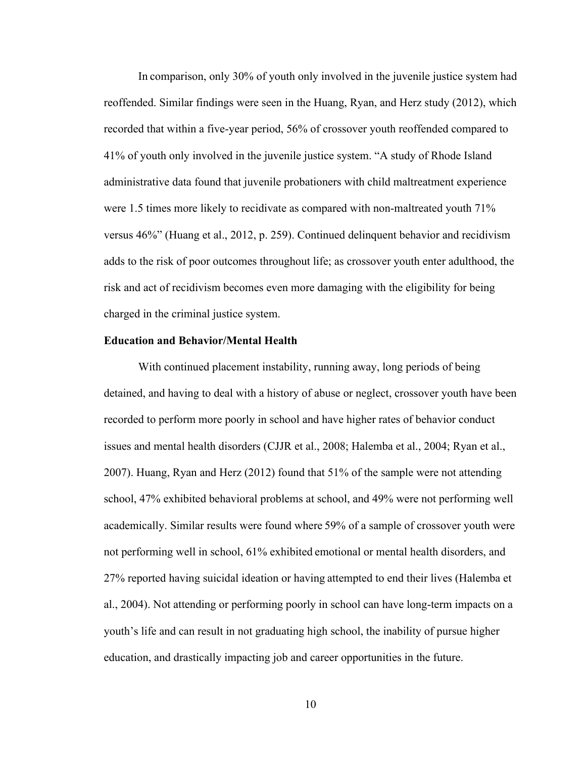In comparison, only 30% of youth only involved in the juvenile justice system had reoffended. Similar findings were seen in the Huang, Ryan, and Herz study (2012), which recorded that within a five-year period, 56% of crossover youth reoffended compared to 41% of youth only involved in the juvenile justice system. "A study of Rhode Island administrative data found that juvenile probationers with child maltreatment experience were 1.5 times more likely to recidivate as compared with non-maltreated youth 71% versus 46%" (Huang et al., 2012, p. 259). Continued delinquent behavior and recidivism adds to the risk of poor outcomes throughout life; as crossover youth enter adulthood, the risk and act of recidivism becomes even more damaging with the eligibility for being charged in the criminal justice system.

#### **Education and Behavior/Mental Health**

With continued placement instability, running away, long periods of being detained, and having to deal with a history of abuse or neglect, crossover youth have been recorded to perform more poorly in school and have higher rates of behavior conduct issues and mental health disorders (CJJR et al., 2008; Halemba et al., 2004; Ryan et al., 2007). Huang, Ryan and Herz (2012) found that 51% of the sample were not attending school, 47% exhibited behavioral problems at school, and 49% were not performing well academically. Similar results were found where 59% of a sample of crossover youth were not performing well in school, 61% exhibited emotional or mental health disorders, and 27% reported having suicidal ideation or having attempted to end their lives (Halemba et al., 2004). Not attending or performing poorly in school can have long-term impacts on a youth's life and can result in not graduating high school, the inability of pursue higher education, and drastically impacting job and career opportunities in the future.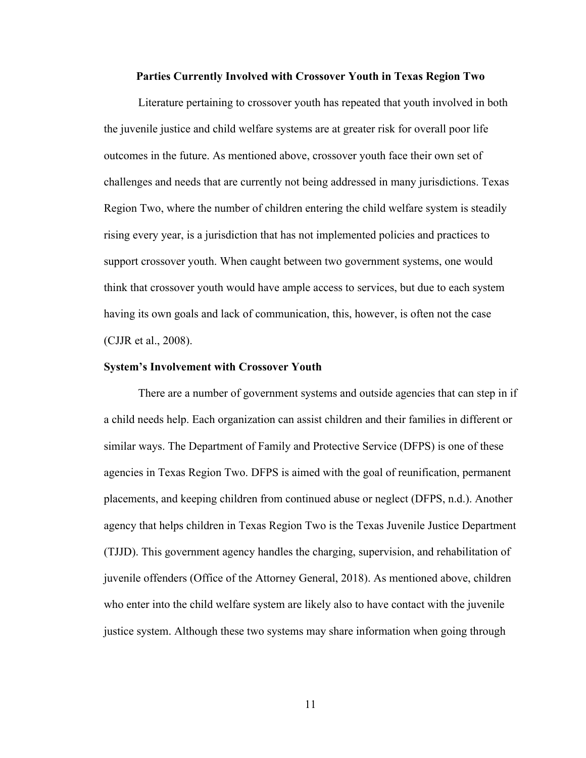#### **Parties Currently Involved with Crossover Youth in Texas Region Two**

Literature pertaining to crossover youth has repeated that youth involved in both the juvenile justice and child welfare systems are at greater risk for overall poor life outcomes in the future. As mentioned above, crossover youth face their own set of challenges and needs that are currently not being addressed in many jurisdictions. Texas Region Two, where the number of children entering the child welfare system is steadily rising every year, is a jurisdiction that has not implemented policies and practices to support crossover youth. When caught between two government systems, one would think that crossover youth would have ample access to services, but due to each system having its own goals and lack of communication, this, however, is often not the case (CJJR et al., 2008).

#### **System's Involvement with Crossover Youth**

There are a number of government systems and outside agencies that can step in if a child needs help. Each organization can assist children and their families in different or similar ways. The Department of Family and Protective Service (DFPS) is one of these agencies in Texas Region Two. DFPS is aimed with the goal of reunification, permanent placements, and keeping children from continued abuse or neglect (DFPS, n.d.). Another agency that helps children in Texas Region Two is the Texas Juvenile Justice Department (TJJD). This government agency handles the charging, supervision, and rehabilitation of juvenile offenders (Office of the Attorney General, 2018). As mentioned above, children who enter into the child welfare system are likely also to have contact with the juvenile justice system. Although these two systems may share information when going through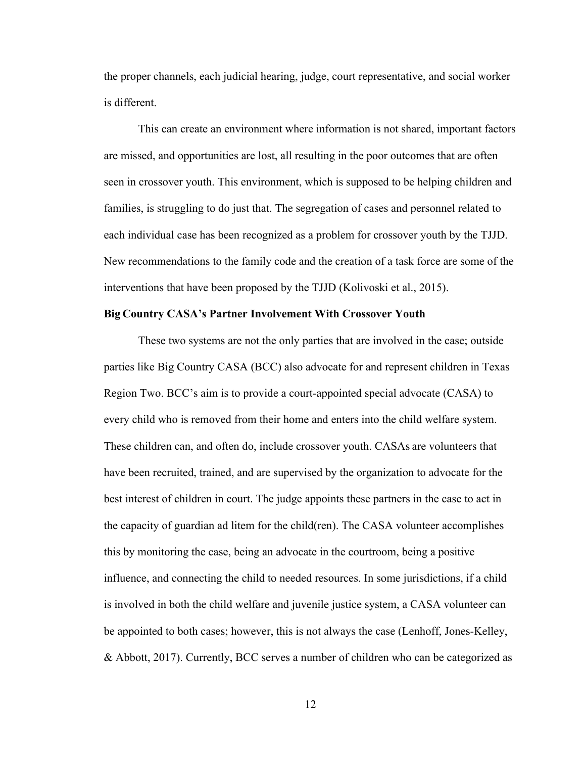the proper channels, each judicial hearing, judge, court representative, and social worker is different.

This can create an environment where information is not shared, important factors are missed, and opportunities are lost, all resulting in the poor outcomes that are often seen in crossover youth. This environment, which is supposed to be helping children and families, is struggling to do just that. The segregation of cases and personnel related to each individual case has been recognized as a problem for crossover youth by the TJJD. New recommendations to the family code and the creation of a task force are some of the interventions that have been proposed by the TJJD (Kolivoski et al., 2015).

## **Big Country CASA's Partner Involvement With Crossover Youth**

These two systems are not the only parties that are involved in the case; outside parties like Big Country CASA (BCC) also advocate for and represent children in Texas Region Two. BCC's aim is to provide a court-appointed special advocate (CASA) to every child who is removed from their home and enters into the child welfare system. These children can, and often do, include crossover youth. CASAs are volunteers that have been recruited, trained, and are supervised by the organization to advocate for the best interest of children in court. The judge appoints these partners in the case to act in the capacity of guardian ad litem for the child(ren). The CASA volunteer accomplishes this by monitoring the case, being an advocate in the courtroom, being a positive influence, and connecting the child to needed resources. In some jurisdictions, if a child is involved in both the child welfare and juvenile justice system, a CASA volunteer can be appointed to both cases; however, this is not always the case (Lenhoff, Jones-Kelley, & Abbott, 2017). Currently, BCC serves a number of children who can be categorized as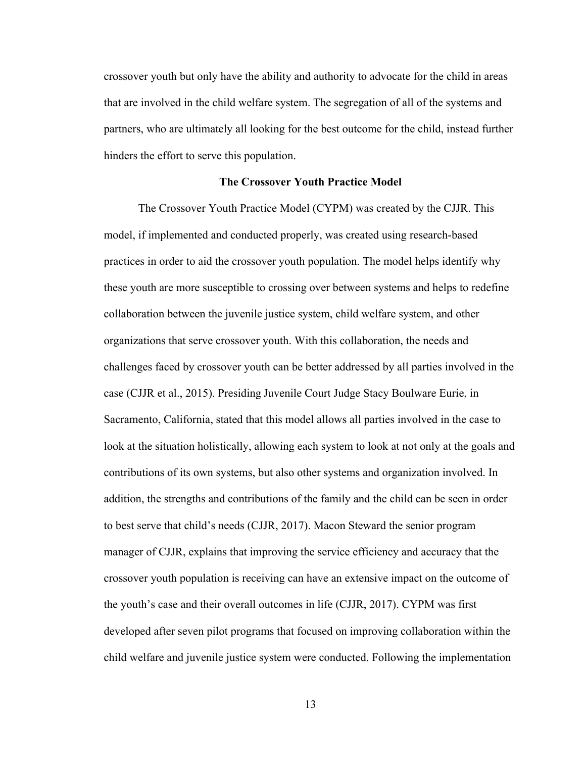crossover youth but only have the ability and authority to advocate for the child in areas that are involved in the child welfare system. The segregation of all of the systems and partners, who are ultimately all looking for the best outcome for the child, instead further hinders the effort to serve this population.

#### **The Crossover Youth Practice Model**

The Crossover Youth Practice Model (CYPM) was created by the CJJR. This model, if implemented and conducted properly, was created using research-based practices in order to aid the crossover youth population. The model helps identify why these youth are more susceptible to crossing over between systems and helps to redefine collaboration between the juvenile justice system, child welfare system, and other organizations that serve crossover youth. With this collaboration, the needs and challenges faced by crossover youth can be better addressed by all parties involved in the case (CJJR et al., 2015). Presiding Juvenile Court Judge Stacy Boulware Eurie, in Sacramento, California, stated that this model allows all parties involved in the case to look at the situation holistically, allowing each system to look at not only at the goals and contributions of its own systems, but also other systems and organization involved. In addition, the strengths and contributions of the family and the child can be seen in order to best serve that child's needs (CJJR, 2017). Macon Steward the senior program manager of CJJR, explains that improving the service efficiency and accuracy that the crossover youth population is receiving can have an extensive impact on the outcome of the youth's case and their overall outcomes in life (CJJR, 2017). CYPM was first developed after seven pilot programs that focused on improving collaboration within the child welfare and juvenile justice system were conducted. Following the implementation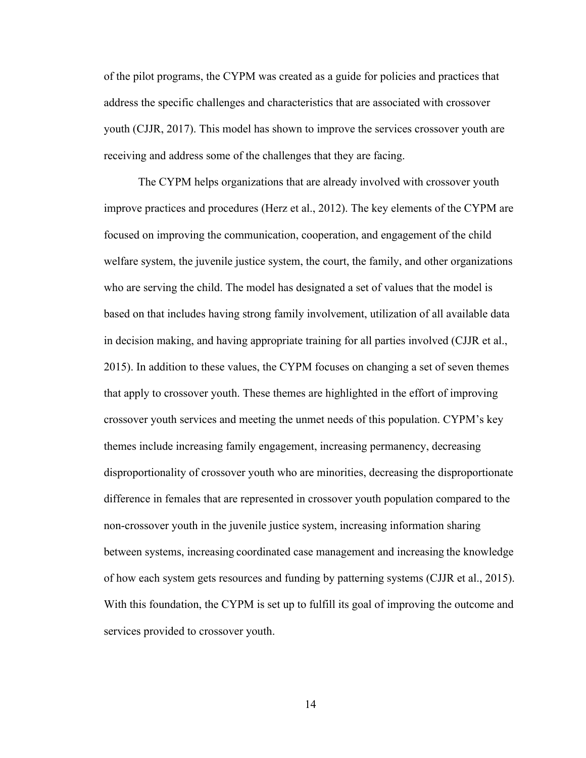of the pilot programs, the CYPM was created as a guide for policies and practices that address the specific challenges and characteristics that are associated with crossover youth (CJJR, 2017). This model has shown to improve the services crossover youth are receiving and address some of the challenges that they are facing.

The CYPM helps organizations that are already involved with crossover youth improve practices and procedures (Herz et al., 2012). The key elements of the CYPM are focused on improving the communication, cooperation, and engagement of the child welfare system, the juvenile justice system, the court, the family, and other organizations who are serving the child. The model has designated a set of values that the model is based on that includes having strong family involvement, utilization of all available data in decision making, and having appropriate training for all parties involved (CJJR et al., 2015). In addition to these values, the CYPM focuses on changing a set of seven themes that apply to crossover youth. These themes are highlighted in the effort of improving crossover youth services and meeting the unmet needs of this population. CYPM's key themes include increasing family engagement, increasing permanency, decreasing disproportionality of crossover youth who are minorities, decreasing the disproportionate difference in females that are represented in crossover youth population compared to the non-crossover youth in the juvenile justice system, increasing information sharing between systems, increasing coordinated case management and increasing the knowledge of how each system gets resources and funding by patterning systems (CJJR et al., 2015). With this foundation, the CYPM is set up to fulfill its goal of improving the outcome and services provided to crossover youth.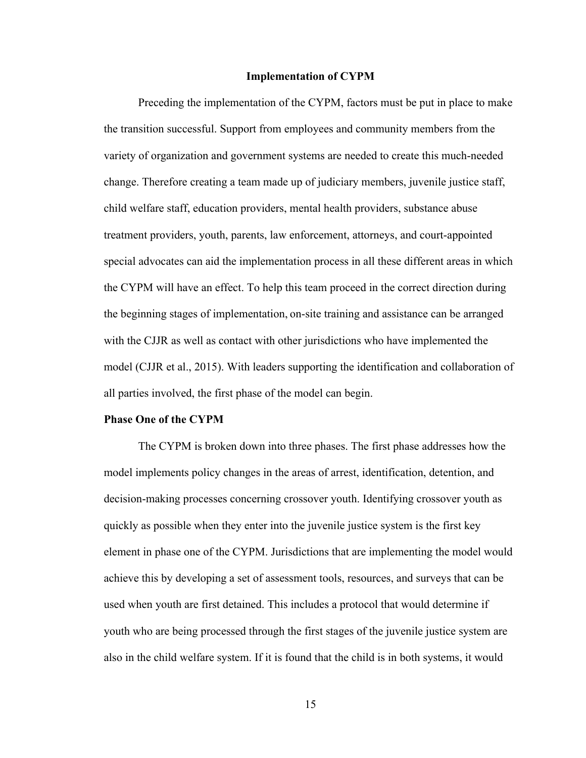#### **Implementation of CYPM**

Preceding the implementation of the CYPM, factors must be put in place to make the transition successful. Support from employees and community members from the variety of organization and government systems are needed to create this much-needed change. Therefore creating a team made up of judiciary members, juvenile justice staff, child welfare staff, education providers, mental health providers, substance abuse treatment providers, youth, parents, law enforcement, attorneys, and court-appointed special advocates can aid the implementation process in all these different areas in which the CYPM will have an effect. To help this team proceed in the correct direction during the beginning stages of implementation, on-site training and assistance can be arranged with the CJJR as well as contact with other jurisdictions who have implemented the model (CJJR et al., 2015). With leaders supporting the identification and collaboration of all parties involved, the first phase of the model can begin.

#### **Phase One of the CYPM**

The CYPM is broken down into three phases. The first phase addresses how the model implements policy changes in the areas of arrest, identification, detention, and decision-making processes concerning crossover youth. Identifying crossover youth as quickly as possible when they enter into the juvenile justice system is the first key element in phase one of the CYPM. Jurisdictions that are implementing the model would achieve this by developing a set of assessment tools, resources, and surveys that can be used when youth are first detained. This includes a protocol that would determine if youth who are being processed through the first stages of the juvenile justice system are also in the child welfare system. If it is found that the child is in both systems, it would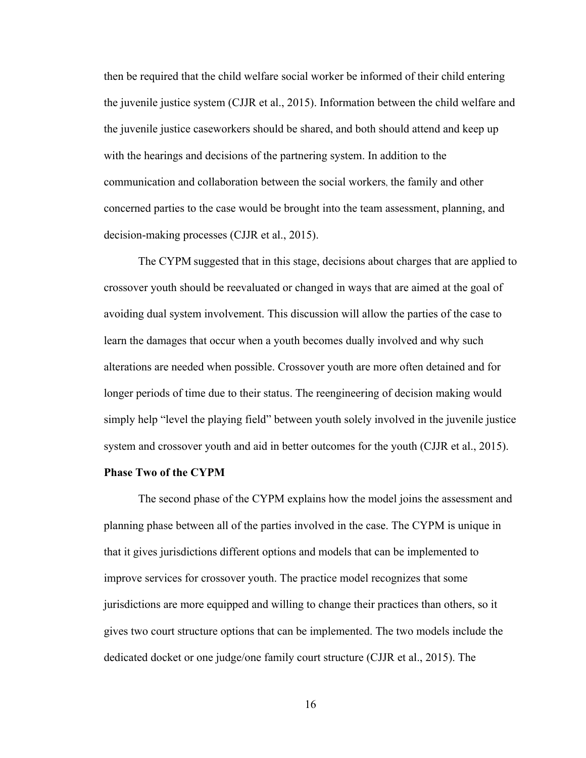then be required that the child welfare social worker be informed of their child entering the juvenile justice system (CJJR et al., 2015). Information between the child welfare and the juvenile justice caseworkers should be shared, and both should attend and keep up with the hearings and decisions of the partnering system. In addition to the communication and collaboration between the social workers, the family and other concerned parties to the case would be brought into the team assessment, planning, and decision-making processes (CJJR et al., 2015).

The CYPM suggested that in this stage, decisions about charges that are applied to crossover youth should be reevaluated or changed in ways that are aimed at the goal of avoiding dual system involvement. This discussion will allow the parties of the case to learn the damages that occur when a youth becomes dually involved and why such alterations are needed when possible. Crossover youth are more often detained and for longer periods of time due to their status. The reengineering of decision making would simply help "level the playing field" between youth solely involved in the juvenile justice system and crossover youth and aid in better outcomes for the youth (CJJR et al., 2015).

## **Phase Two of the CYPM**

The second phase of the CYPM explains how the model joins the assessment and planning phase between all of the parties involved in the case. The CYPM is unique in that it gives jurisdictions different options and models that can be implemented to improve services for crossover youth. The practice model recognizes that some jurisdictions are more equipped and willing to change their practices than others, so it gives two court structure options that can be implemented. The two models include the dedicated docket or one judge/one family court structure (CJJR et al., 2015). The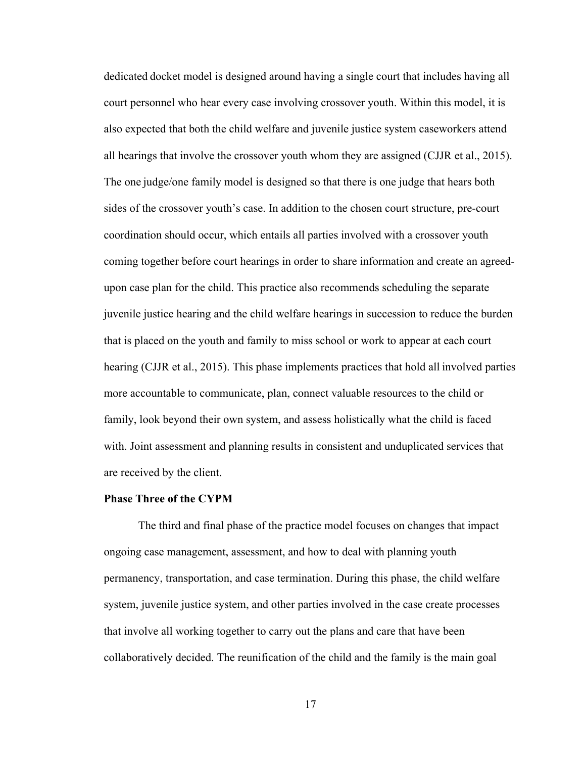dedicated docket model is designed around having a single court that includes having all court personnel who hear every case involving crossover youth. Within this model, it is also expected that both the child welfare and juvenile justice system caseworkers attend all hearings that involve the crossover youth whom they are assigned (CJJR et al., 2015). The one judge/one family model is designed so that there is one judge that hears both sides of the crossover youth's case. In addition to the chosen court structure, pre-court coordination should occur, which entails all parties involved with a crossover youth coming together before court hearings in order to share information and create an agreedupon case plan for the child. This practice also recommends scheduling the separate juvenile justice hearing and the child welfare hearings in succession to reduce the burden that is placed on the youth and family to miss school or work to appear at each court hearing (CJJR et al., 2015). This phase implements practices that hold all involved parties more accountable to communicate, plan, connect valuable resources to the child or family, look beyond their own system, and assess holistically what the child is faced with. Joint assessment and planning results in consistent and unduplicated services that are received by the client.

#### **Phase Three of the CYPM**

The third and final phase of the practice model focuses on changes that impact ongoing case management, assessment, and how to deal with planning youth permanency, transportation, and case termination. During this phase, the child welfare system, juvenile justice system, and other parties involved in the case create processes that involve all working together to carry out the plans and care that have been collaboratively decided. The reunification of the child and the family is the main goal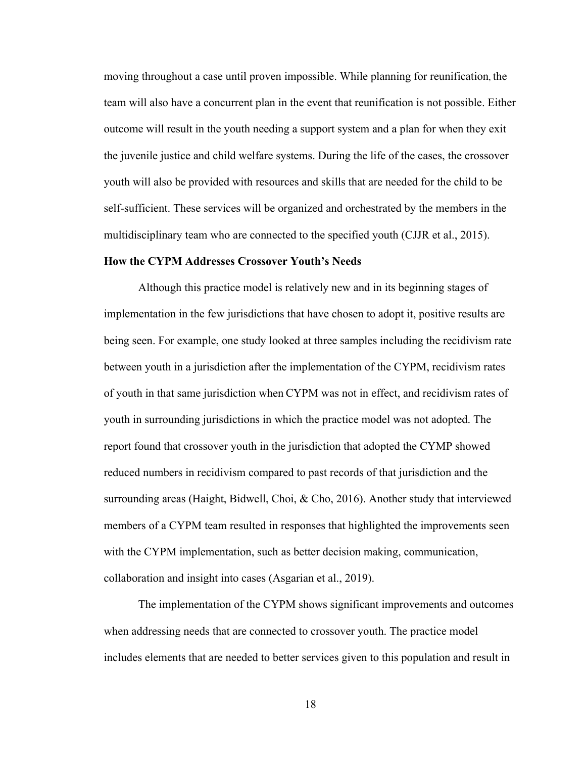moving throughout a case until proven impossible. While planning for reunification, the team will also have a concurrent plan in the event that reunification is not possible. Either outcome will result in the youth needing a support system and a plan for when they exit the juvenile justice and child welfare systems. During the life of the cases, the crossover youth will also be provided with resources and skills that are needed for the child to be self-sufficient. These services will be organized and orchestrated by the members in the multidisciplinary team who are connected to the specified youth (CJJR et al., 2015).

#### **How the CYPM Addresses Crossover Youth's Needs**

Although this practice model is relatively new and in its beginning stages of implementation in the few jurisdictions that have chosen to adopt it, positive results are being seen. For example, one study looked at three samples including the recidivism rate between youth in a jurisdiction after the implementation of the CYPM, recidivism rates of youth in that same jurisdiction when CYPM was not in effect, and recidivism rates of youth in surrounding jurisdictions in which the practice model was not adopted. The report found that crossover youth in the jurisdiction that adopted the CYMP showed reduced numbers in recidivism compared to past records of that jurisdiction and the surrounding areas (Haight, Bidwell, Choi, & Cho, 2016). Another study that interviewed members of a CYPM team resulted in responses that highlighted the improvements seen with the CYPM implementation, such as better decision making, communication, collaboration and insight into cases (Asgarian et al., 2019).

The implementation of the CYPM shows significant improvements and outcomes when addressing needs that are connected to crossover youth. The practice model includes elements that are needed to better services given to this population and result in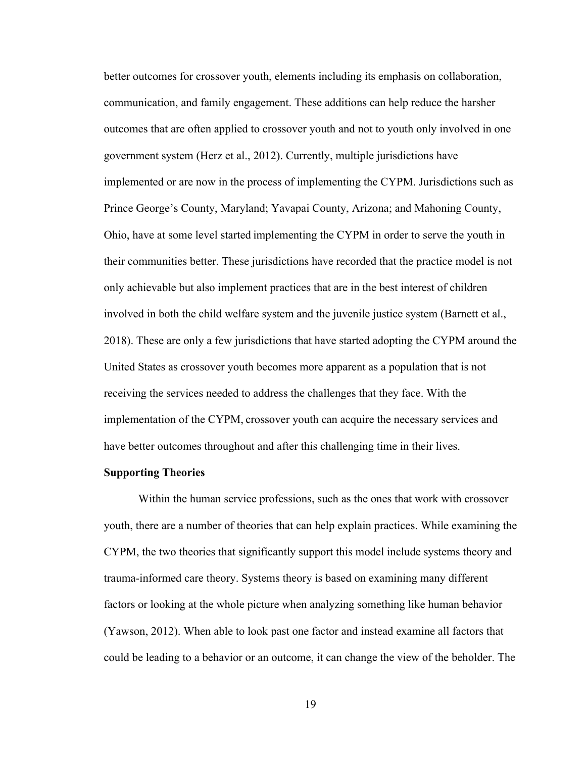better outcomes for crossover youth, elements including its emphasis on collaboration, communication, and family engagement. These additions can help reduce the harsher outcomes that are often applied to crossover youth and not to youth only involved in one government system (Herz et al., 2012). Currently, multiple jurisdictions have implemented or are now in the process of implementing the CYPM. Jurisdictions such as Prince George's County, Maryland; Yavapai County, Arizona; and Mahoning County, Ohio, have at some level started implementing the CYPM in order to serve the youth in their communities better. These jurisdictions have recorded that the practice model is not only achievable but also implement practices that are in the best interest of children involved in both the child welfare system and the juvenile justice system (Barnett et al., 2018). These are only a few jurisdictions that have started adopting the CYPM around the United States as crossover youth becomes more apparent as a population that is not receiving the services needed to address the challenges that they face. With the implementation of the CYPM, crossover youth can acquire the necessary services and have better outcomes throughout and after this challenging time in their lives.

## **Supporting Theories**

Within the human service professions, such as the ones that work with crossover youth, there are a number of theories that can help explain practices. While examining the CYPM, the two theories that significantly support this model include systems theory and trauma-informed care theory. Systems theory is based on examining many different factors or looking at the whole picture when analyzing something like human behavior (Yawson, 2012). When able to look past one factor and instead examine all factors that could be leading to a behavior or an outcome, it can change the view of the beholder. The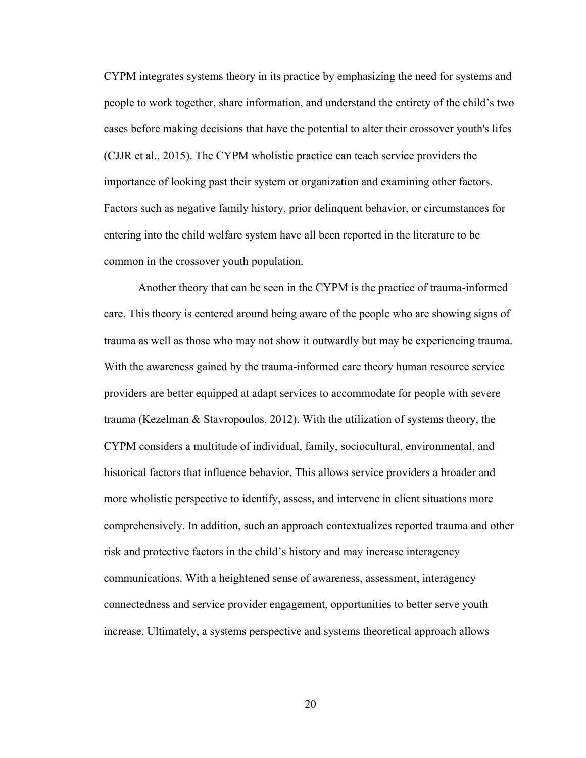CYPM integrates systems theory in its practice by emphasizing the need for systems and people to work together, share information, and understand the entirety of the child's two cases before making decisions that have the potential to alter their crossover youth's lifes (CJJR et al., 2015). The CYPM wholistic practice can teach service providers the importance of looking past their system or organization and examining other factors. Factors such as negative family history, prior delinquent behavior, or circumstances for entering into the child welfare system have all been reported in the literature to be common in the crossover youth population.

Another theory that can be seen in the CYPM is the practice of trauma-informed care. This theory is centered around being aware of the people who are showing signs of trauma as well as those who may not show it outwardly but may be experiencing trauma. With the awareness gained by the trauma-informed care theory human resource service providers are better equipped at adapt services to accommodate for people with severe trauma (Kezelman & Stavropoulos, 2012). With the utilization of systems theory, the CYPM considers a multitude of individual, family, sociocultural, environmental, and historical factors that influence behavior. This allows service providers a broader and more wholistic perspective to identify, assess, and intervene in client situations more comprehensively. In addition, such an approach contextualizes reported trauma and other risk and protective factors in the child's history and may increase interagency communications. With a heightened sense of awareness, assessment, interagency connectedness and service provider engagement, opportunities to better serve youth increase. Ultimately, a systems perspective and systems theoretical approach allows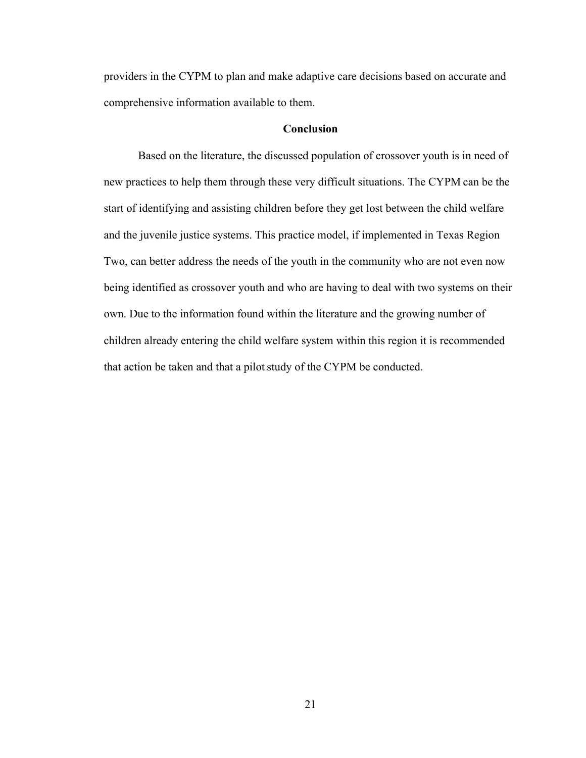providers in the CYPM to plan and make adaptive care decisions based on accurate and comprehensive information available to them.

### **Conclusion**

Based on the literature, the discussed population of crossover youth is in need of new practices to help them through these very difficult situations. The CYPM can be the start of identifying and assisting children before they get lost between the child welfare and the juvenile justice systems. This practice model, if implemented in Texas Region Two, can better address the needs of the youth in the community who are not even now being identified as crossover youth and who are having to deal with two systems on their own. Due to the information found within the literature and the growing number of children already entering the child welfare system within this region it is recommended that action be taken and that a pilot study of the CYPM be conducted.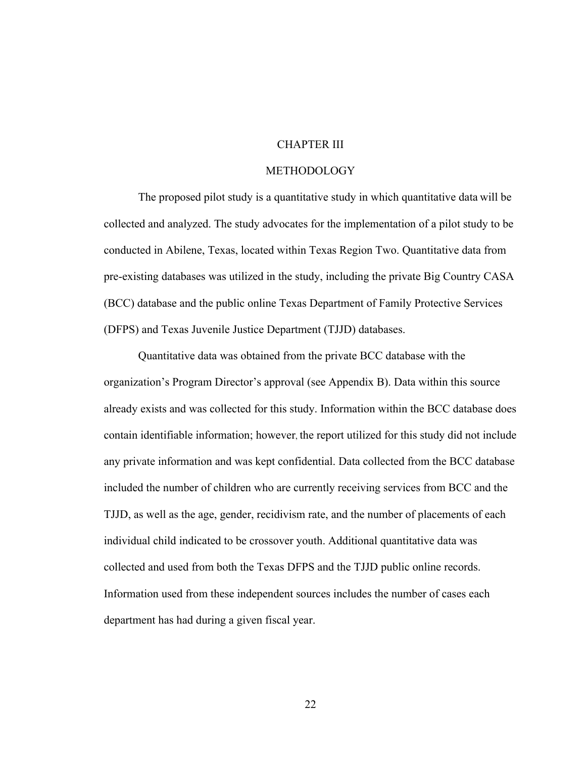## CHAPTER III

## METHODOLOGY

The proposed pilot study is a quantitative study in which quantitative data will be collected and analyzed. The study advocates for the implementation of a pilot study to be conducted in Abilene, Texas, located within Texas Region Two. Quantitative data from pre-existing databases was utilized in the study, including the private Big Country CASA (BCC) database and the public online Texas Department of Family Protective Services (DFPS) and Texas Juvenile Justice Department (TJJD) databases.

Quantitative data was obtained from the private BCC database with the organization's Program Director's approval (see Appendix B). Data within this source already exists and was collected for this study. Information within the BCC database does contain identifiable information; however, the report utilized for this study did not include any private information and was kept confidential. Data collected from the BCC database included the number of children who are currently receiving services from BCC and the TJJD, as well as the age, gender, recidivism rate, and the number of placements of each individual child indicated to be crossover youth. Additional quantitative data was collected and used from both the Texas DFPS and the TJJD public online records. Information used from these independent sources includes the number of cases each department has had during a given fiscal year.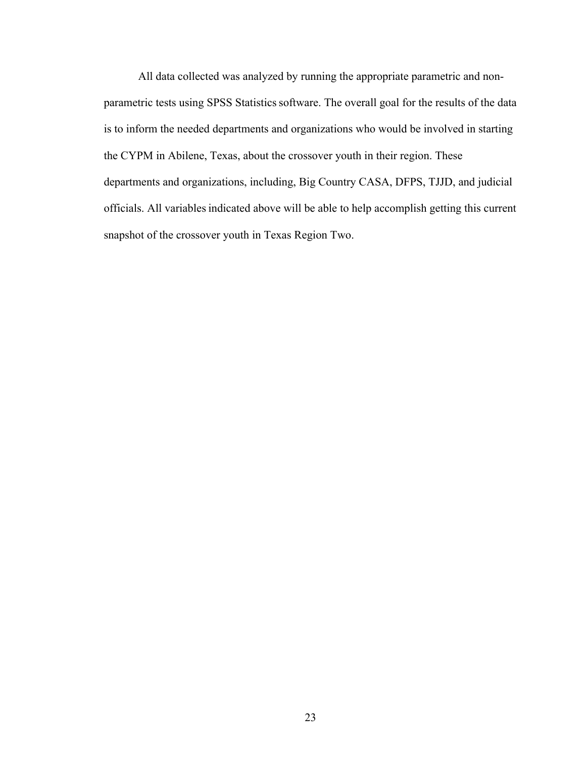All data collected was analyzed by running the appropriate parametric and nonparametric tests using SPSS Statistics software. The overall goal for the results of the data is to inform the needed departments and organizations who would be involved in starting the CYPM in Abilene, Texas, about the crossover youth in their region. These departments and organizations, including, Big Country CASA, DFPS, TJJD, and judicial officials. All variablesindicated above will be able to help accomplish getting this current snapshot of the crossover youth in Texas Region Two.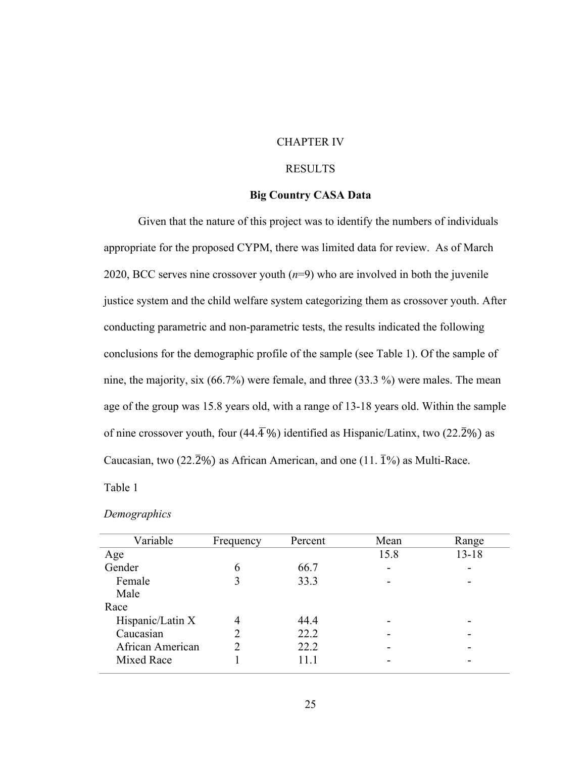## CHAPTER IV

## RESULTS

## **Big Country CASA Data**

Given that the nature of this project was to identify the numbers of individuals appropriate for the proposed CYPM, there was limited data for review. As of March 2020, BCC serves nine crossover youth (*n*=9) who are involved in both the juvenile justice system and the child welfare system categorizing them as crossover youth. After conducting parametric and non-parametric tests, the results indicated the following conclusions for the demographic profile of the sample (see Table 1). Of the sample of nine, the majority, six (66.7%) were female, and three (33.3 %) were males. The mean age of the group was 15.8 years old, with a range of 13-18 years old. Within the sample of nine crossover youth, four (44. $\overline{4}$ %) identified as Hispanic/Latinx, two (22. $\overline{2}$ %) as Caucasian, two (22.2%) as African American, and one (11.  $\overline{1}\%$ ) as Multi-Race.

Table 1

| Variable         | Frequency                     | Percent | Mean | Range     |
|------------------|-------------------------------|---------|------|-----------|
| Age              |                               |         | 15.8 | $13 - 18$ |
| Gender           | 6                             | 66.7    | -    |           |
| Female           | 3                             | 33.3    | -    | -         |
| Male             |                               |         |      |           |
| Race             |                               |         |      |           |
| Hispanic/Latin X | 4                             | 44.4    |      |           |
| Caucasian        | $\mathfrak{D}_{\mathfrak{p}}$ | 22.2    | -    |           |
| African American |                               | 22.2    | -    |           |
| Mixed Race       |                               | 11.1    | -    |           |
|                  |                               |         |      |           |

#### *Demographics*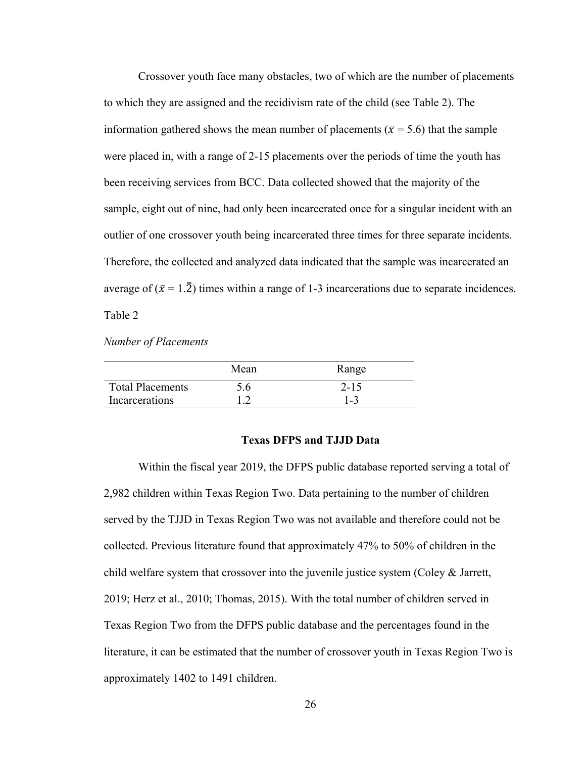Crossover youth face many obstacles, two of which are the number of placements to which they are assigned and the recidivism rate of the child (see Table 2). The information gathered shows the mean number of placements ( $\bar{x}$  = 5.6) that the sample were placed in, with a range of 2-15 placements over the periods of time the youth has been receiving services from BCC. Data collected showed that the majority of the sample, eight out of nine, had only been incarcerated once for a singular incident with an outlier of one crossover youth being incarcerated three times for three separate incidents. Therefore, the collected and analyzed data indicated that the sample was incarcerated an average of  $(\bar{x} = 1.\bar{2})$  times within a range of 1-3 incarcerations due to separate incidences. Table 2

*Number of Placements* 

|                         | Mean      | Range    |
|-------------------------|-----------|----------|
| <b>Total Placements</b> | 5.6       | $2 - 15$ |
| Incarcerations          | $\bigcap$ | 1-3      |

## **Texas DFPS and TJJD Data**

Within the fiscal year 2019, the DFPS public database reported serving a total of 2,982 children within Texas Region Two. Data pertaining to the number of children served by the TJJD in Texas Region Two was not available and therefore could not be collected. Previous literature found that approximately 47% to 50% of children in the child welfare system that crossover into the juvenile justice system (Coley  $\&$  Jarrett, 2019; Herz et al., 2010; Thomas, 2015). With the total number of children served in Texas Region Two from the DFPS public database and the percentages found in the literature, it can be estimated that the number of crossover youth in Texas Region Two is approximately 1402 to 1491 children.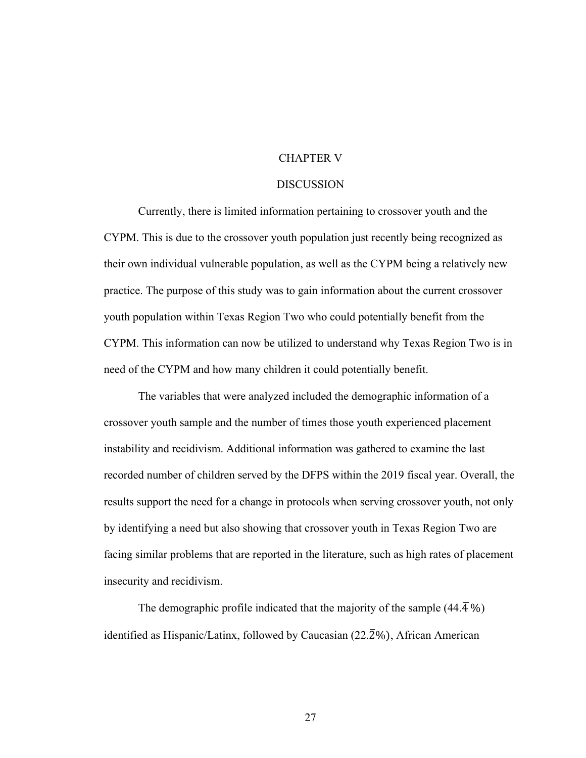## CHAPTER V

#### DISCUSSION

Currently, there is limited information pertaining to crossover youth and the CYPM. This is due to the crossover youth population just recently being recognized as their own individual vulnerable population, as well as the CYPM being a relatively new practice. The purpose of this study was to gain information about the current crossover youth population within Texas Region Two who could potentially benefit from the CYPM. This information can now be utilized to understand why Texas Region Two is in need of the CYPM and how many children it could potentially benefit.

The variables that were analyzed included the demographic information of a crossover youth sample and the number of times those youth experienced placement instability and recidivism. Additional information was gathered to examine the last recorded number of children served by the DFPS within the 2019 fiscal year. Overall, the results support the need for a change in protocols when serving crossover youth, not only by identifying a need but also showing that crossover youth in Texas Region Two are facing similar problems that are reported in the literature, such as high rates of placement insecurity and recidivism.

The demographic profile indicated that the majority of the sample  $(44.\overline{4}\%)$ identified as Hispanic/Latinx, followed by Caucasian (22.2%), African American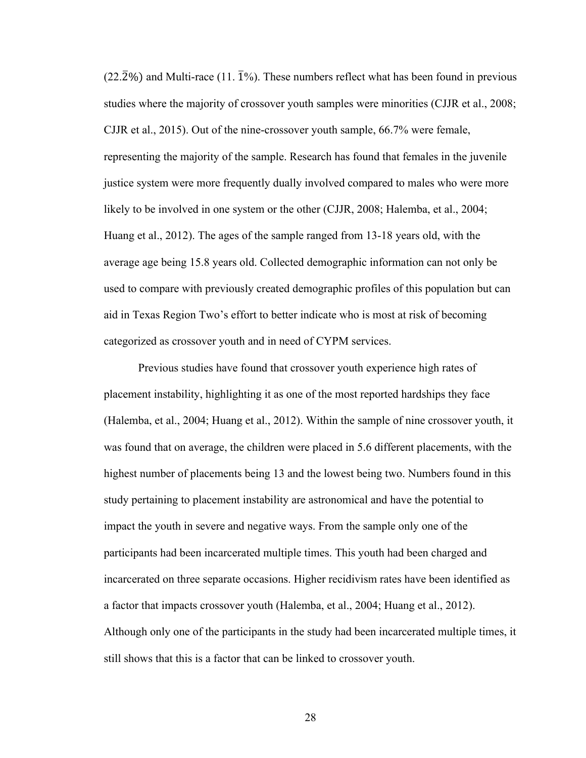$(22.\overline{2}\%)$  and Multi-race (11.  $\overline{1}\%$ ). These numbers reflect what has been found in previous studies where the majority of crossover youth samples were minorities (CJJR et al., 2008; CJJR et al., 2015). Out of the nine-crossover youth sample, 66.7% were female, representing the majority of the sample. Research has found that females in the juvenile justice system were more frequently dually involved compared to males who were more likely to be involved in one system or the other (CJJR, 2008; Halemba, et al., 2004; Huang et al., 2012). The ages of the sample ranged from 13-18 years old, with the average age being 15.8 years old. Collected demographic information can not only be used to compare with previously created demographic profiles of this population but can aid in Texas Region Two's effort to better indicate who is most at risk of becoming categorized as crossover youth and in need of CYPM services.

Previous studies have found that crossover youth experience high rates of placement instability, highlighting it as one of the most reported hardships they face (Halemba, et al., 2004; Huang et al., 2012). Within the sample of nine crossover youth, it was found that on average, the children were placed in 5.6 different placements, with the highest number of placements being 13 and the lowest being two. Numbers found in this study pertaining to placement instability are astronomical and have the potential to impact the youth in severe and negative ways. From the sample only one of the participants had been incarcerated multiple times. This youth had been charged and incarcerated on three separate occasions. Higher recidivism rates have been identified as a factor that impacts crossover youth (Halemba, et al., 2004; Huang et al., 2012). Although only one of the participants in the study had been incarcerated multiple times, it still shows that this is a factor that can be linked to crossover youth.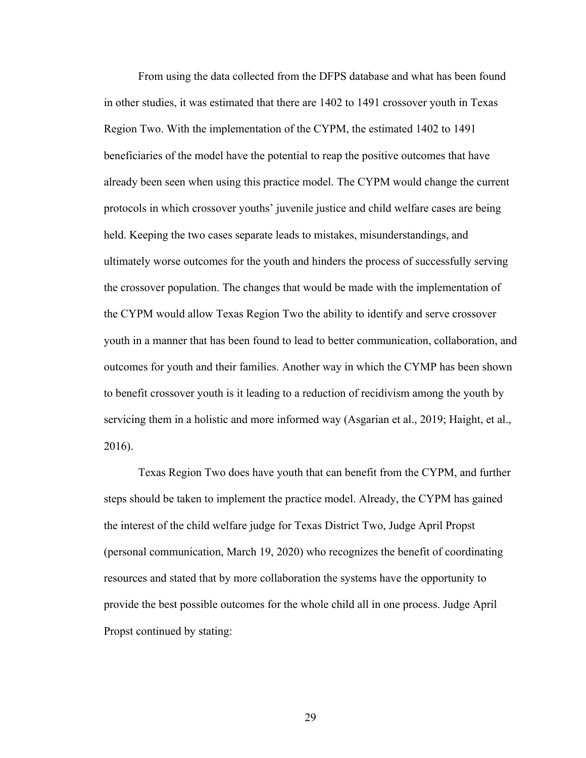From using the data collected from the DFPS database and what has been found in other studies, it was estimated that there are 1402 to 1491 crossover youth in Texas Region Two. With the implementation of the CYPM, the estimated 1402 to 1491 beneficiaries of the model have the potential to reap the positive outcomes that have already been seen when using this practice model. The CYPM would change the current protocols in which crossover youths' juvenile justice and child welfare cases are being held. Keeping the two cases separate leads to mistakes, misunderstandings, and ultimately worse outcomes for the youth and hinders the process of successfully serving the crossover population. The changes that would be made with the implementation of the CYPM would allow Texas Region Two the ability to identify and serve crossover youth in a manner that has been found to lead to better communication, collaboration, and outcomes for youth and their families. Another way in which the CYMP has been shown to benefit crossover youth is it leading to a reduction of recidivism among the youth by servicing them in a holistic and more informed way (Asgarian et al., 2019; Haight, et al., 2016).

Texas Region Two does have youth that can benefit from the CYPM, and further steps should be taken to implement the practice model. Already, the CYPM has gained the interest of the child welfare judge for Texas District Two, Judge April Propst (personal communication, March 19, 2020) who recognizes the benefit of coordinating resources and stated that by more collaboration the systems have the opportunity to provide the best possible outcomes for the whole child all in one process. Judge April Propst continued by stating: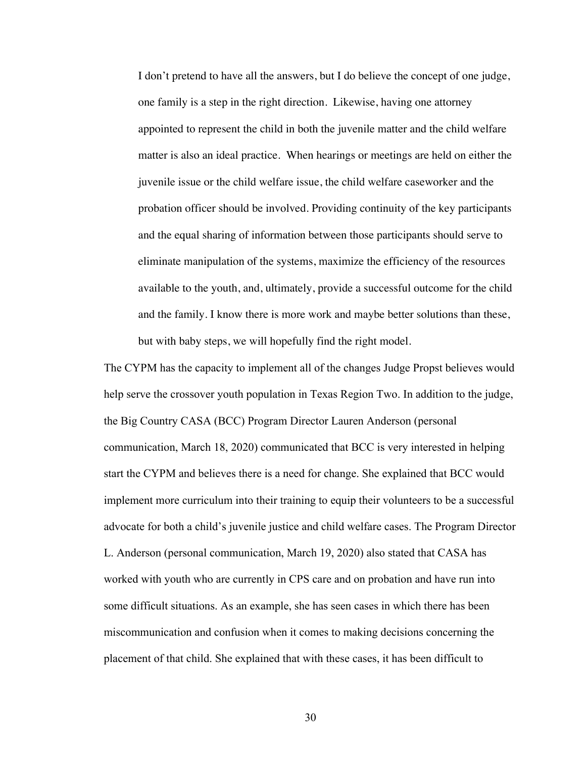I don't pretend to have all the answers, but I do believe the concept of one judge, one family is a step in the right direction. Likewise, having one attorney appointed to represent the child in both the juvenile matter and the child welfare matter is also an ideal practice. When hearings or meetings are held on either the juvenile issue or the child welfare issue, the child welfare caseworker and the probation officer should be involved. Providing continuity of the key participants and the equal sharing of information between those participants should serve to eliminate manipulation of the systems, maximize the efficiency of the resources available to the youth, and, ultimately, provide a successful outcome for the child and the family. I know there is more work and maybe better solutions than these, but with baby steps, we will hopefully find the right model.

The CYPM has the capacity to implement all of the changes Judge Propst believes would help serve the crossover youth population in Texas Region Two. In addition to the judge, the Big Country CASA (BCC) Program Director Lauren Anderson (personal communication, March 18, 2020) communicated that BCC is very interested in helping start the CYPM and believes there is a need for change. She explained that BCC would implement more curriculum into their training to equip their volunteers to be a successful advocate for both a child's juvenile justice and child welfare cases. The Program Director L. Anderson (personal communication, March 19, 2020) also stated that CASA has worked with youth who are currently in CPS care and on probation and have run into some difficult situations. As an example, she has seen cases in which there has been miscommunication and confusion when it comes to making decisions concerning the placement of that child. She explained that with these cases, it has been difficult to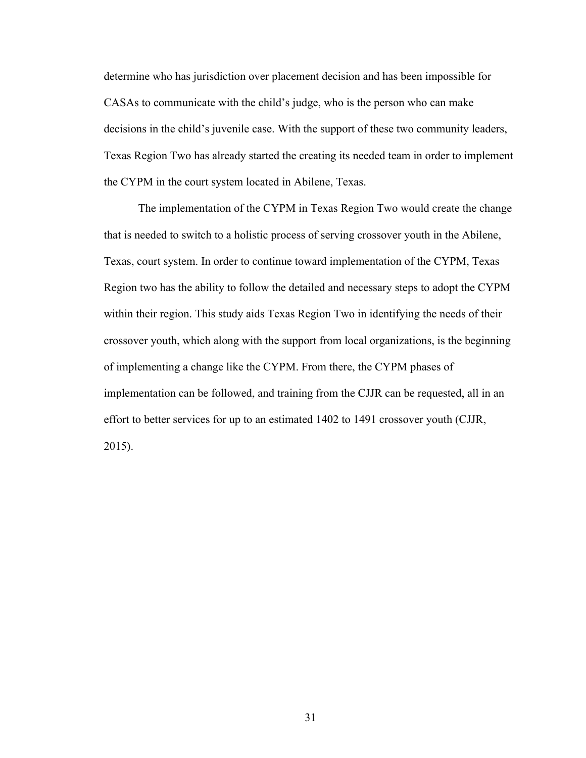determine who has jurisdiction over placement decision and has been impossible for CASAs to communicate with the child's judge, who is the person who can make decisions in the child's juvenile case. With the support of these two community leaders, Texas Region Two has already started the creating its needed team in order to implement the CYPM in the court system located in Abilene, Texas.

The implementation of the CYPM in Texas Region Two would create the change that is needed to switch to a holistic process of serving crossover youth in the Abilene, Texas, court system. In order to continue toward implementation of the CYPM, Texas Region two has the ability to follow the detailed and necessary steps to adopt the CYPM within their region. This study aids Texas Region Two in identifying the needs of their crossover youth, which along with the support from local organizations, is the beginning of implementing a change like the CYPM. From there, the CYPM phases of implementation can be followed, and training from the CJJR can be requested, all in an effort to better services for up to an estimated 1402 to 1491 crossover youth (CJJR, 2015).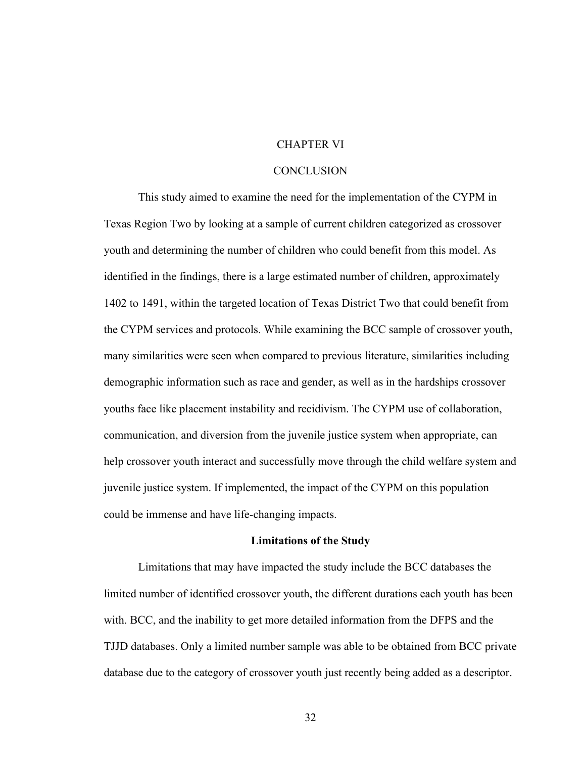## CHAPTER VI

## **CONCLUSION**

This study aimed to examine the need for the implementation of the CYPM in Texas Region Two by looking at a sample of current children categorized as crossover youth and determining the number of children who could benefit from this model. As identified in the findings, there is a large estimated number of children, approximately 1402 to 1491, within the targeted location of Texas District Two that could benefit from the CYPM services and protocols. While examining the BCC sample of crossover youth, many similarities were seen when compared to previous literature, similarities including demographic information such as race and gender, as well as in the hardships crossover youths face like placement instability and recidivism. The CYPM use of collaboration, communication, and diversion from the juvenile justice system when appropriate, can help crossover youth interact and successfully move through the child welfare system and juvenile justice system. If implemented, the impact of the CYPM on this population could be immense and have life-changing impacts.

#### **Limitations of the Study**

Limitations that may have impacted the study include the BCC databases the limited number of identified crossover youth, the different durations each youth has been with. BCC, and the inability to get more detailed information from the DFPS and the TJJD databases. Only a limited number sample was able to be obtained from BCC private database due to the category of crossover youth just recently being added as a descriptor.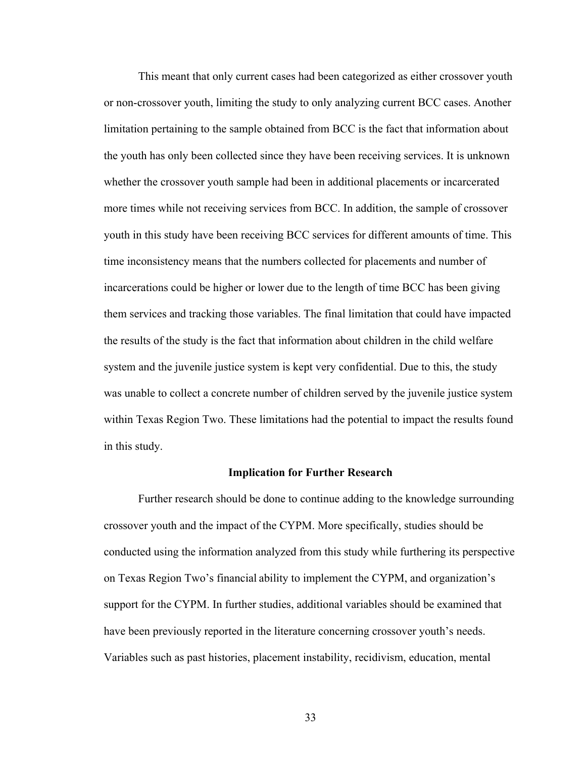This meant that only current cases had been categorized as either crossover youth or non-crossover youth, limiting the study to only analyzing current BCC cases. Another limitation pertaining to the sample obtained from BCC is the fact that information about the youth has only been collected since they have been receiving services. It is unknown whether the crossover youth sample had been in additional placements or incarcerated more times while not receiving services from BCC. In addition, the sample of crossover youth in this study have been receiving BCC services for different amounts of time. This time inconsistency means that the numbers collected for placements and number of incarcerations could be higher or lower due to the length of time BCC has been giving them services and tracking those variables. The final limitation that could have impacted the results of the study is the fact that information about children in the child welfare system and the juvenile justice system is kept very confidential. Due to this, the study was unable to collect a concrete number of children served by the juvenile justice system within Texas Region Two. These limitations had the potential to impact the results found in this study.

## **Implication for Further Research**

Further research should be done to continue adding to the knowledge surrounding crossover youth and the impact of the CYPM. More specifically, studies should be conducted using the information analyzed from this study while furthering its perspective on Texas Region Two's financial ability to implement the CYPM, and organization's support for the CYPM. In further studies, additional variables should be examined that have been previously reported in the literature concerning crossover youth's needs. Variables such as past histories, placement instability, recidivism, education, mental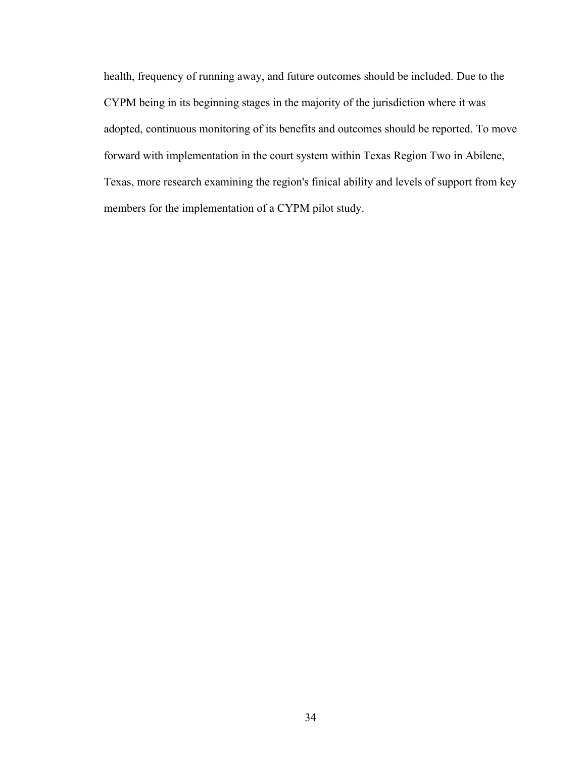health, frequency of running away, and future outcomes should be included. Due to the CYPM being in its beginning stages in the majority of the jurisdiction where it was adopted, continuous monitoring of its benefits and outcomes should be reported. To move forward with implementation in the court system within Texas Region Two in Abilene, Texas, more research examining the region's finical ability and levels of support from key members for the implementation of a CYPM pilot study.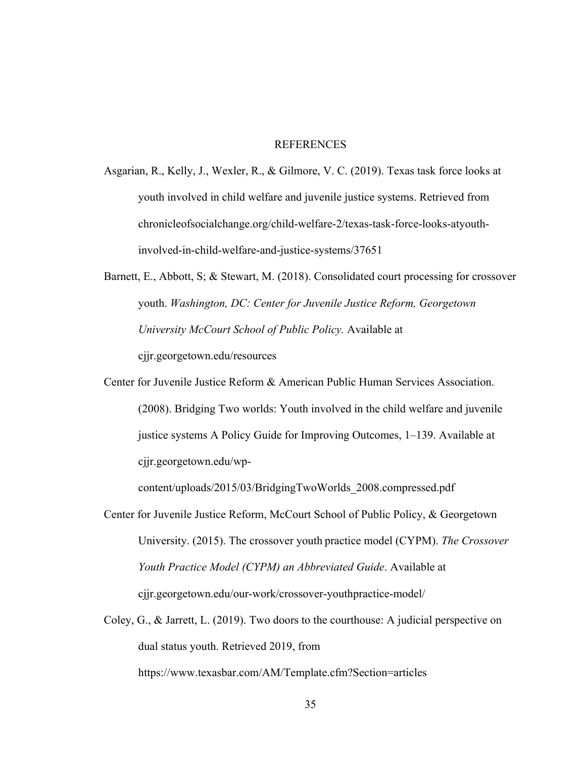## REFERENCES

- Asgarian, R., Kelly, J., Wexler, R., & Gilmore, V. C. (2019). Texas task force looks at youth involved in child welfare and juvenile justice systems. Retrieved from chronicleofsocialchange.org/child-welfare-2/texas-task-force-looks-atyouthinvolved-in-child-welfare-and-justice-systems/37651
- Barnett, E., Abbott, S; & Stewart, M. (2018). Consolidated court processing for crossover youth. *Washington, DC: Center for Juvenile Justice Reform, Georgetown University McCourt School of Public Policy.* Available at cjjr.georgetown.edu/resources
- Center for Juvenile Justice Reform & American Public Human Services Association. (2008). Bridging Two worlds: Youth involved in the child welfare and juvenile justice systems A Policy Guide for Improving Outcomes, 1–139. Available at cjjr.georgetown.edu/wp-

content/uploads/2015/03/BridgingTwoWorlds\_2008.compressed.pdf

- Center for Juvenile Justice Reform, McCourt School of Public Policy, & Georgetown University. (2015). The crossover youth practice model (CYPM). *The Crossover Youth Practice Model (CYPM) an Abbreviated Guide*. Available at cjjr.georgetown.edu/our-work/crossover-youthpractice-model/
- Coley, G., & Jarrett, L. (2019). Two doors to the courthouse: A judicial perspective on dual status youth. Retrieved 2019, from https://www.texasbar.com/AM/Template.cfm?Section=articles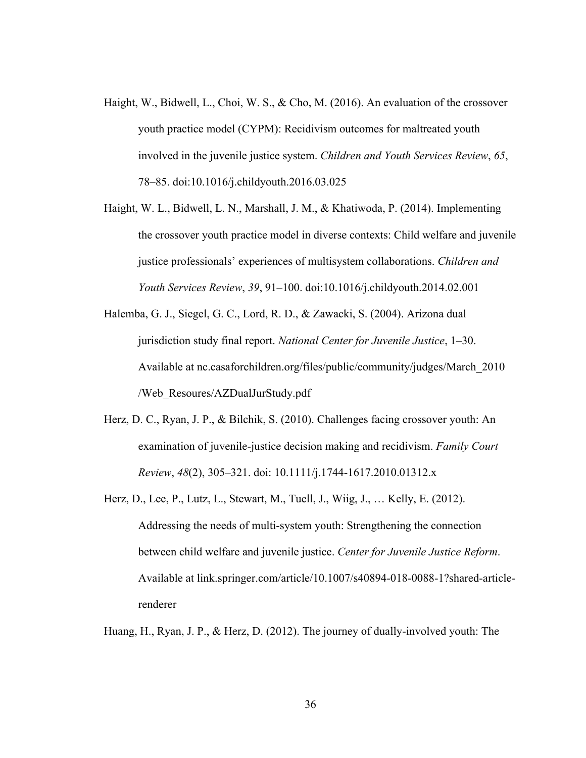- Haight, W., Bidwell, L., Choi, W. S., & Cho, M. (2016). An evaluation of the crossover youth practice model (CYPM): Recidivism outcomes for maltreated youth involved in the juvenile justice system. *Children and Youth Services Review*, *65*, 78–85. doi:10.1016/j.childyouth.2016.03.025
- Haight, W. L., Bidwell, L. N., Marshall, J. M., & Khatiwoda, P. (2014). Implementing the crossover youth practice model in diverse contexts: Child welfare and juvenile justice professionals' experiences of multisystem collaborations. *Children and Youth Services Review*, *39*, 91–100. doi:10.1016/j.childyouth.2014.02.001
- Halemba, G. J., Siegel, G. C., Lord, R. D., & Zawacki, S. (2004). Arizona dual jurisdiction study final report. *National Center for Juvenile Justice*, 1–30. Available at nc.casaforchildren.org/files/public/community/judges/March\_2010 /Web\_Resoures/AZDualJurStudy.pdf
- Herz, D. C., Ryan, J. P., & Bilchik, S. (2010). Challenges facing crossover youth: An examination of juvenile-justice decision making and recidivism. *Family Court Review*, *48*(2), 305–321. doi: 10.1111/j.1744-1617.2010.01312.x
- Herz, D., Lee, P., Lutz, L., Stewart, M., Tuell, J., Wiig, J., … Kelly, E. (2012). Addressing the needs of multi-system youth: Strengthening the connection between child welfare and juvenile justice. *Center for Juvenile Justice Reform*. Available at link.springer.com/article/10.1007/s40894-018-0088-1?shared-articlerenderer

Huang, H., Ryan, J. P., & Herz, D. (2012). The journey of dually-involved youth: The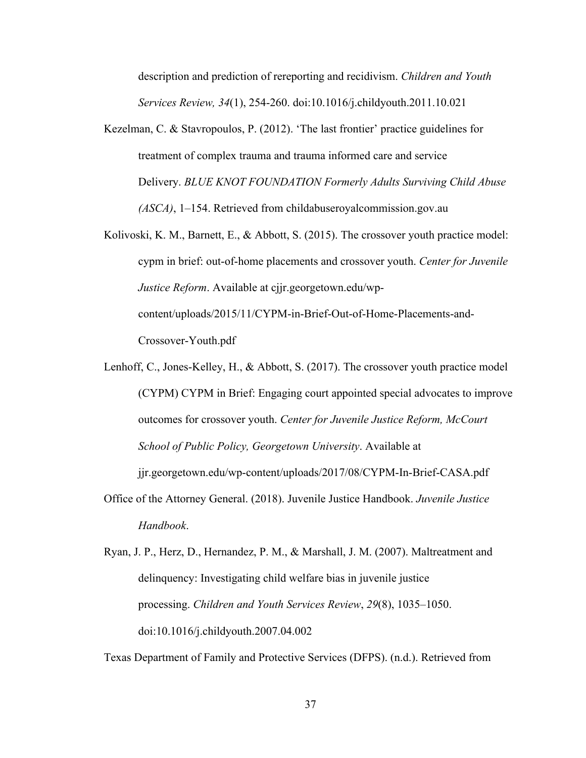description and prediction of rereporting and recidivism. *Children and Youth Services Review, 34*(1), 254-260. doi:10.1016/j.childyouth.2011.10.021

- Kezelman, C. & Stavropoulos, P. (2012). 'The last frontier' practice guidelines for treatment of complex trauma and trauma informed care and service Delivery. *BLUE KNOT FOUNDATION Formerly Adults Surviving Child Abuse (ASCA)*, 1–154. Retrieved from childabuseroyalcommission.gov.au
- Kolivoski, K. M., Barnett, E., & Abbott, S. (2015). The crossover youth practice model: cypm in brief: out-of-home placements and crossover youth. *Center for Juvenile Justice Reform*. Available at cjjr.georgetown.edu/wpcontent/uploads/2015/11/CYPM-in-Brief-Out-of-Home-Placements-and-Crossover-Youth.pdf
- Lenhoff, C., Jones-Kelley, H., & Abbott, S. (2017). The crossover youth practice model (CYPM) CYPM in Brief: Engaging court appointed special advocates to improve outcomes for crossover youth. *Center for Juvenile Justice Reform, McCourt School of Public Policy, Georgetown University*. Available at

jjr.georgetown.edu/wp-content/uploads/2017/08/CYPM-In-Brief-CASA.pdf

- Office of the Attorney General. (2018). Juvenile Justice Handbook. *Juvenile Justice Handbook*.
- Ryan, J. P., Herz, D., Hernandez, P. M., & Marshall, J. M. (2007). Maltreatment and delinquency: Investigating child welfare bias in juvenile justice processing. *Children and Youth Services Review*, *29*(8), 1035–1050. doi:10.1016/j.childyouth.2007.04.002

Texas Department of Family and Protective Services (DFPS). (n.d.). Retrieved from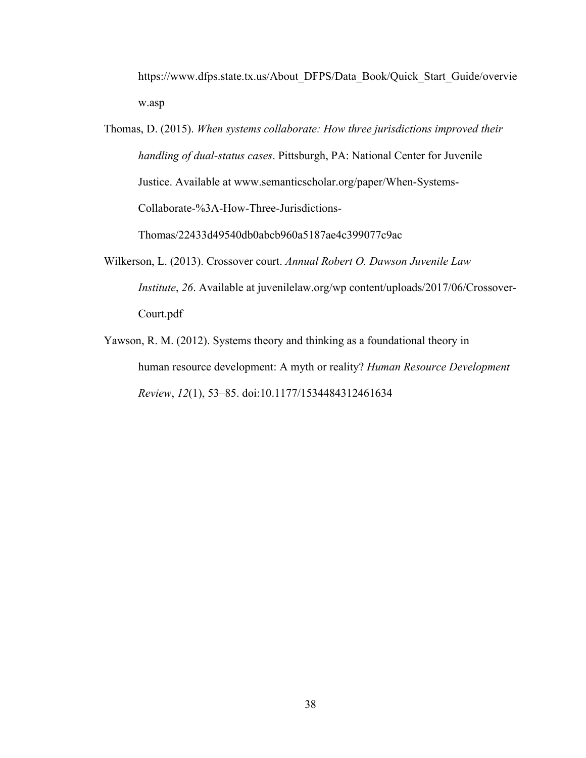https://www.dfps.state.tx.us/About\_DFPS/Data\_Book/Quick\_Start\_Guide/overvie w.asp

- Thomas, D. (2015). *When systems collaborate: How three jurisdictions improved their handling of dual-status cases*. Pittsburgh, PA: National Center for Juvenile Justice. Available at www.semanticscholar.org/paper/When-Systems-Collaborate-%3A-How-Three-Jurisdictions-Thomas/22433d49540db0abcb960a5187ae4c399077c9ac
- Wilkerson, L. (2013). Crossover court. *Annual Robert O. Dawson Juvenile Law Institute*, *26*. Available at juvenilelaw.org/wp content/uploads/2017/06/Crossover-Court.pdf
- Yawson, R. M. (2012). Systems theory and thinking as a foundational theory in human resource development: A myth or reality? *Human Resource Development Review*, *12*(1), 53–85. doi:10.1177/1534484312461634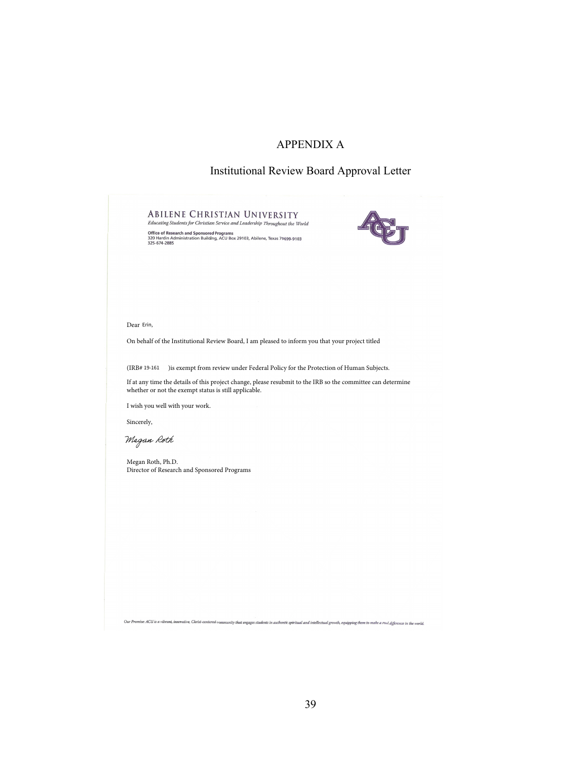## APPENDIX A

## Institutional Review Board Approval Letter